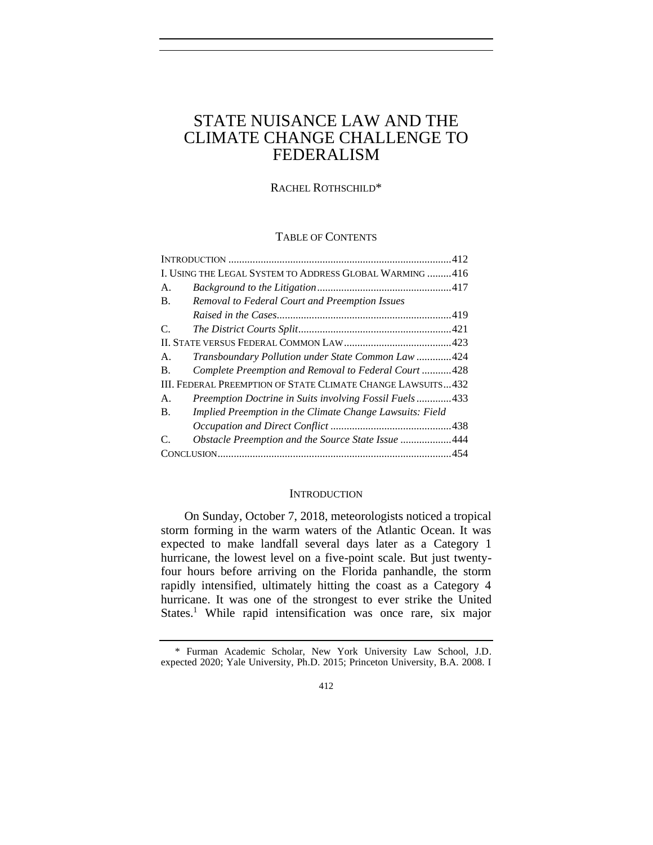# STATE NUISANCE LAW AND THE CLIMATE CHANGE CHALLENGE TO FEDERALISM

RACHEL ROTHSCHILD\*

## TABLE OF CONTENTS

| I. USING THE LEGAL SYSTEM TO ADDRESS GLOBAL WARMING 416     |                                                          |  |  |  |
|-------------------------------------------------------------|----------------------------------------------------------|--|--|--|
| А.                                                          |                                                          |  |  |  |
| Β.                                                          | Removal to Federal Court and Preemption Issues           |  |  |  |
|                                                             |                                                          |  |  |  |
| C.                                                          |                                                          |  |  |  |
|                                                             |                                                          |  |  |  |
| А.                                                          | Transboundary Pollution under State Common Law424        |  |  |  |
| $\mathbf{B}$ .                                              | Complete Preemption and Removal to Federal Court 428     |  |  |  |
| III. FEDERAL PREEMPTION OF STATE CLIMATE CHANGE LAWSUITS432 |                                                          |  |  |  |
| Α.                                                          | Preemption Doctrine in Suits involving Fossil Fuels433   |  |  |  |
| B.                                                          | Implied Preemption in the Climate Change Lawsuits: Field |  |  |  |
|                                                             |                                                          |  |  |  |
| C.                                                          | Obstacle Preemption and the Source State Issue 444       |  |  |  |
|                                                             |                                                          |  |  |  |

## **INTRODUCTION**

<span id="page-0-0"></span>On Sunday, October 7, 2018, meteorologists noticed a tropical storm forming in the warm waters of the Atlantic Ocean. It was expected to make landfall several days later as a Category 1 hurricane, the lowest level on a five-point scale. But just twentyfour hours before arriving on the Florida panhandle, the storm rapidly intensified, ultimately hitting the coast as a Category 4 hurricane. It was one of the strongest to ever strike the United States.<sup>1</sup> While rapid intensification was once rare, six major

<sup>\*</sup> Furman Academic Scholar, New York University Law School, J.D. expected 2020; Yale University, Ph.D. 2015; Princeton University, B.A. 2008. I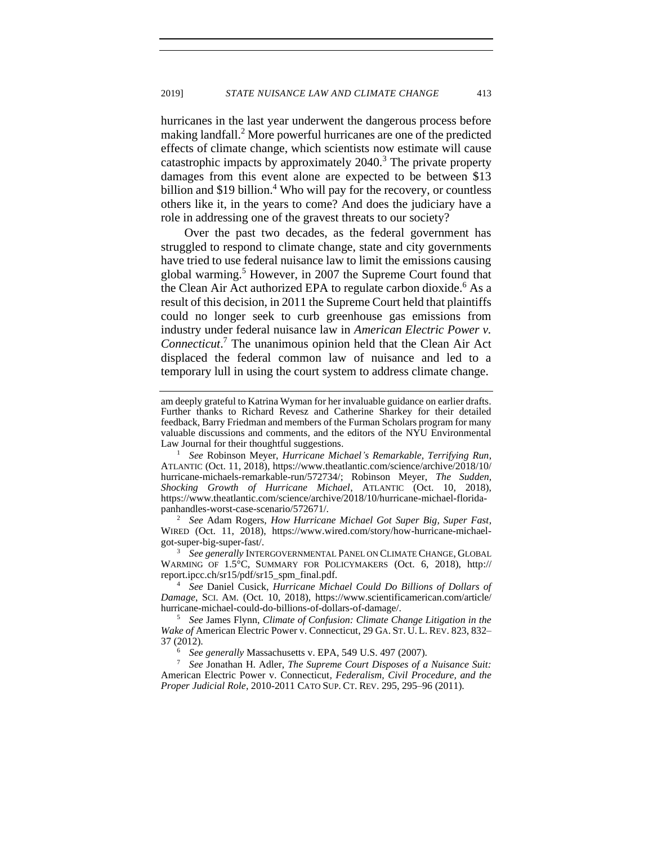hurricanes in the last year underwent the dangerous process before making landfall.<sup>2</sup> More powerful hurricanes are one of the predicted effects of climate change, which scientists now estimate will cause catastrophic impacts by approximately  $2040$ .<sup>3</sup> The private property damages from this event alone are expected to be between \$13 billion and \$19 billion. $4$  Who will pay for the recovery, or countless others like it, in the years to come? And does the judiciary have a role in addressing one of the gravest threats to our society?

Over the past two decades, as the federal government has struggled to respond to climate change, state and city governments have tried to use federal nuisance law to limit the emissions causing global warming.<sup>5</sup> However, in 2007 the Supreme Court found that the Clean Air Act authorized EPA to regulate carbon dioxide.<sup>6</sup> As a result of this decision, in 2011 the Supreme Court held that plaintiffs could no longer seek to curb greenhouse gas emissions from industry under federal nuisance law in *American Electric Power v. Connecticut*. <sup>7</sup> The unanimous opinion held that the Clean Air Act displaced the federal common law of nuisance and led to a temporary lull in using the court system to address climate change.

<sup>2</sup> *See* Adam Rogers, *How Hurricane Michael Got Super Big, Super Fast*, WIRED (Oct. 11, 2018), https://www.wired.com/story/how-hurricane-michaelgot-super-big-super-fast/.

<sup>3</sup> *See generally* INTERGOVERNMENTAL PANEL ON CLIMATE CHANGE, GLOBAL WARMING OF 1.5°C, SUMMARY FOR POLICYMAKERS (Oct. 6, 2018), http:// report.ipcc.ch/sr15/pdf/sr15\_spm\_final.pdf.

<sup>4</sup> *See* Daniel Cusick, *Hurricane Michael Could Do Billions of Dollars of Damage*, SCI. AM. (Oct. 10, 2018), https://www.scientificamerican.com/article/ hurricane-michael-could-do-billions-of-dollars-of-damage/.

<sup>5</sup> *See* James Flynn, *Climate of Confusion: Climate Change Litigation in the Wake of* American Electric Power v. Connecticut, 29 GA. ST. U. L. REV. 823, 832– 37 (2012).

<sup>6</sup> See generally Massachusetts v. EPA, 549 U.S. 497 (2007).<br><sup>7</sup> See Jonathan H. Adler, *The Sunreme Court Disposes of a* 

<sup>7</sup> *See* Jonathan H. Adler, *The Supreme Court Disposes of a Nuisance Suit:*  American Electric Power v. Connecticut*, Federalism, Civil Procedure, and the Proper Judicial Role*, 2010-2011 CATO SUP. CT. REV. 295, 295–96 (2011).

am deeply grateful to Katrina Wyman for her invaluable guidance on earlier drafts. Further thanks to Richard Revesz and Catherine Sharkey for their detailed feedback, Barry Friedman and members of the Furman Scholars program for many valuable discussions and comments, and the editors of the NYU Environmental Law Journal for their thoughtful suggestions.

<sup>1</sup> *See* Robinson Meyer, *Hurricane Michael's Remarkable, Terrifying Run*, ATLANTIC (Oct. 11, 2018), [https://www.theatlantic.com/science/archive/2018/10/](https://www.theatlantic.com/science/archive/2018/10/hurricane-michaels-remarkable-run/572734/) [hurricane-michaels-remarkable-run/572734/;](https://www.theatlantic.com/science/archive/2018/10/hurricane-michaels-remarkable-run/572734/) Robinson Meyer, *The Sudden, Shocking Growth of Hurricane Michael*, ATLANTIC (Oct. 10, 2018), https://www.theatlantic.com/science/archive/2018/10/hurricane-michael-floridapanhandles-worst-case-scenario/572671/.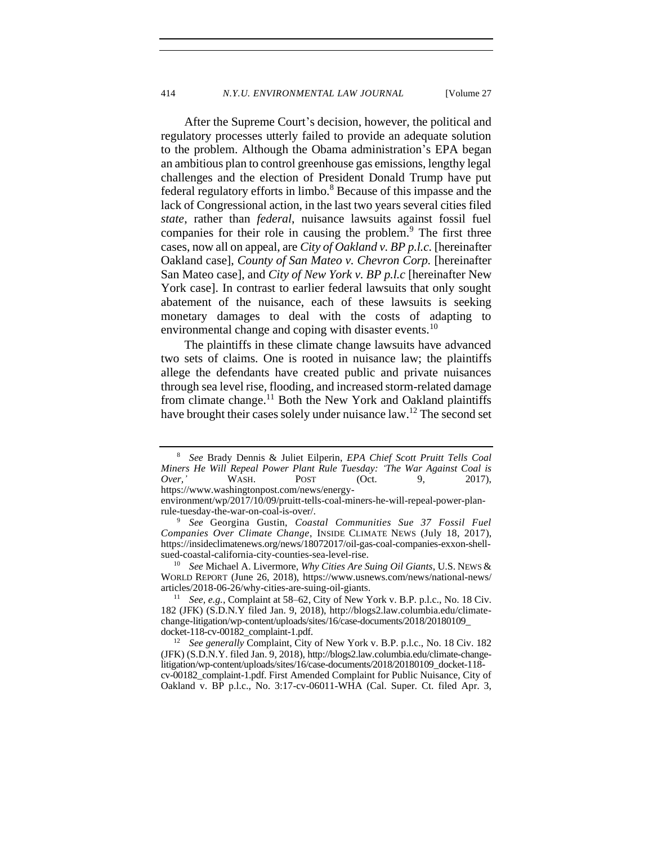After the Supreme Court's decision, however, the political and regulatory processes utterly failed to provide an adequate solution to the problem. Although the Obama administration's EPA began an ambitious plan to control greenhouse gas emissions, lengthy legal challenges and the election of President Donald Trump have put federal regulatory efforts in limbo.<sup>8</sup> Because of this impasse and the lack of Congressional action, in the last two years several cities filed *state*, rather than *federal*, nuisance lawsuits against fossil fuel companies for their role in causing the problem.<sup>9</sup> The first three cases, now all on appeal, are *City of Oakland v. BP p.l.c.* [hereinafter Oakland case], *County of San Mateo v. Chevron Corp.* [hereinafter San Mateo case], and *City of New York v. BP p.l.c* [hereinafter New York case]. In contrast to earlier federal lawsuits that only sought abatement of the nuisance, each of these lawsuits is seeking monetary damages to deal with the costs of adapting to environmental change and coping with disaster events.<sup>10</sup>

The plaintiffs in these climate change lawsuits have advanced two sets of claims. One is rooted in nuisance law; the plaintiffs allege the defendants have created public and private nuisances through sea level rise, flooding, and increased storm-related damage from climate change.<sup>11</sup> Both the New York and Oakland plaintiffs have brought their cases solely under nuisance law.<sup>12</sup> The second set

<sup>8</sup> *See* Brady Dennis & Juliet Eilperin, *EPA Chief Scott Pruitt Tells Coal Miners He Will Repeal Power Plant Rule Tuesday: 'The War Against Coal is Over,'* WASH. POST (Oct. 9, 2017), https://www.washingtonpost.com/news/energy-

environment/wp/2017/10/09/pruitt-tells-coal-miners-he-will-repeal-power-planrule-tuesday-the-war-on-coal-is-over/.

<sup>9</sup> *See* Georgina Gustin, *Coastal Communities Sue 37 Fossil Fuel Companies Over Climate Change*, INSIDE CLIMATE NEWS (July 18, 2017), https://insideclimatenews.org/news/18072017/oil-gas-coal-companies-exxon-shellsued-coastal-california-city-counties-sea-level-rise.

<sup>10</sup> *See* Michael A. Livermore, *Why Cities Are Suing Oil Giants*, U.S. NEWS & WORLD REPORT (June 26, 2018), https://www.usnews.com/news/national-news/ articles/2018-06-26/why-cities-are-suing-oil-giants.

<sup>11</sup> *See, e.g.*, Complaint at 58–62, City of New York v. B.P. p.l.c., No. 18 Civ. 182 (JFK) (S.D.N.Y filed Jan. 9, 2018), http://blogs2.law.columbia.edu/climatechange-litigation/wp-content/uploads/sites/16/case-documents/2018/20180109\_ docket-118-cv-00182\_complaint-1.pdf.

<sup>12</sup> *See generally* Complaint, City of New York v. B.P. p.l.c., No. 18 Civ. 182 (JFK) (S.D.N.Y. filed Jan. 9, 2018), http://blogs2.law.columbia.edu/climate-changelitigation/wp-content/uploads/sites/16/case-documents/2018/20180109\_docket-118 cv-00182\_complaint-1.pdf. First Amended Complaint for Public Nuisance, City of Oakland v. BP p.l.c., No. 3:17-cv-06011-WHA (Cal. Super. Ct. filed Apr. 3,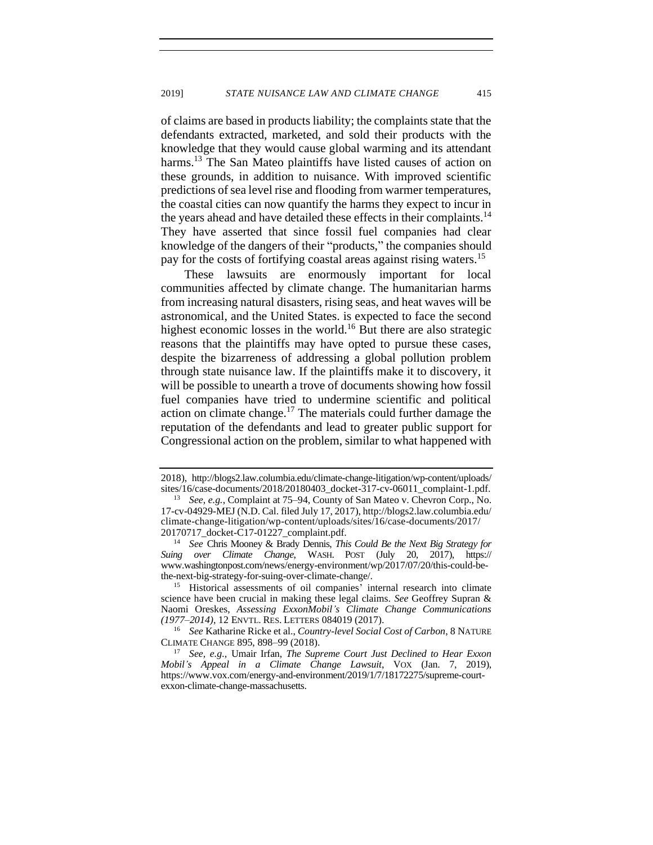of claims are based in products liability; the complaints state that the defendants extracted, marketed, and sold their products with the knowledge that they would cause global warming and its attendant harms.<sup>13</sup> The San Mateo plaintiffs have listed causes of action on these grounds, in addition to nuisance. With improved scientific predictions of sea level rise and flooding from warmer temperatures, the coastal cities can now quantify the harms they expect to incur in the years ahead and have detailed these effects in their complaints.<sup>14</sup> They have asserted that since fossil fuel companies had clear knowledge of the dangers of their "products," the companies should pay for the costs of fortifying coastal areas against rising waters.<sup>15</sup>

These lawsuits are enormously important for local communities affected by climate change. The humanitarian harms from increasing natural disasters, rising seas, and heat waves will be astronomical, and the United States. is expected to face the second highest economic losses in the world.<sup>16</sup> But there are also strategic reasons that the plaintiffs may have opted to pursue these cases, despite the bizarreness of addressing a global pollution problem through state nuisance law. If the plaintiffs make it to discovery, it will be possible to unearth a trove of documents showing how fossil fuel companies have tried to undermine scientific and political action on climate change.<sup>17</sup> The materials could further damage the reputation of the defendants and lead to greater public support for Congressional action on the problem, similar to what happened with

<sup>2018),</sup> http://blogs2.law.columbia.edu/climate-change-litigation/wp-content/uploads/ sites/16/case-documents/2018/20180403\_docket-317-cv-06011\_complaint-1.pdf.

<sup>13</sup> *See, e.g.*, Complaint at 75–94, County of San Mateo v. Chevron Corp., No. 17-cv-04929-MEJ (N.D. Cal. filed July 17, 2017), http://blogs2.law.columbia.edu/ climate-change-litigation/wp-content/uploads/sites/16/case-documents/2017/ 20170717\_docket-C17-01227\_complaint.pdf.

<sup>14</sup> *See* Chris Mooney & Brady Dennis, *This Could Be the Next Big Strategy for Suing over Climate Change*, WASH. POST (July 20, 2017), https:// www.washingtonpost.com/news/energy-environment/wp/2017/07/20/this-could-bethe-next-big-strategy-for-suing-over-climate-change/.

<sup>15</sup> Historical assessments of oil companies' internal research into climate science have been crucial in making these legal claims. *See* Geoffrey Supran & Naomi Oreskes, *Assessing ExxonMobil's Climate Change Communications (1977–2014)*, 12 ENVTL. RES. LETTERS 084019 (2017).

<sup>16</sup> *See* Katharine Ricke et al., *Country-level Social Cost of Carbon*, 8 NATURE CLIMATE CHANGE 895, 898–99 (2018).

<sup>17</sup> *See, e.g.*, Umair Irfan, *The Supreme Court Just Declined to Hear Exxon Mobil's Appeal in a Climate Change Lawsuit*, VOX (Jan. 7, 2019), https://www.vox.com/energy-and-environment/2019/1/7/18172275/supreme-courtexxon-climate-change-massachusetts.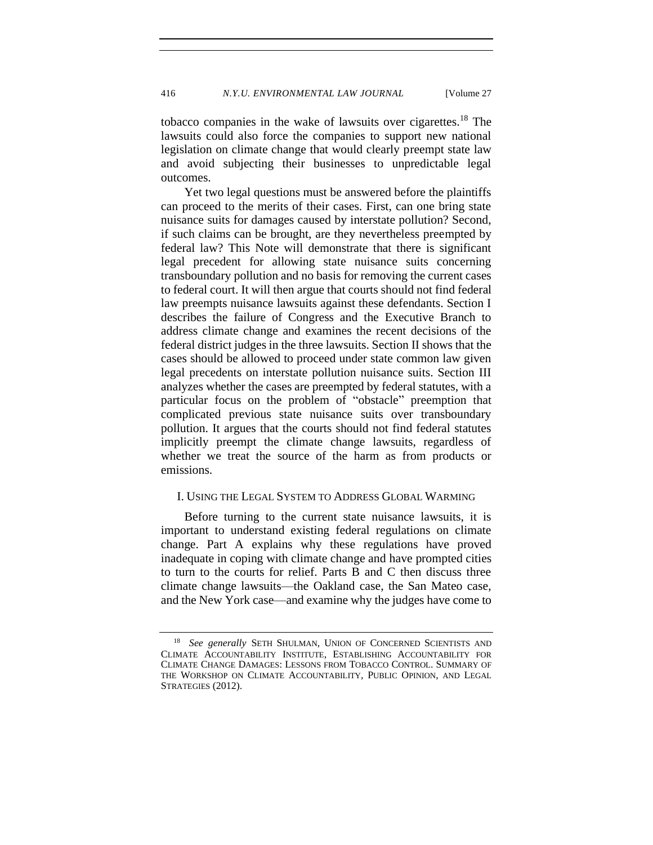tobacco companies in the wake of lawsuits over cigarettes.<sup>18</sup> The lawsuits could also force the companies to support new national legislation on climate change that would clearly preempt state law and avoid subjecting their businesses to unpredictable legal outcomes.

Yet two legal questions must be answered before the plaintiffs can proceed to the merits of their cases. First, can one bring state nuisance suits for damages caused by interstate pollution? Second, if such claims can be brought, are they nevertheless preempted by federal law? This Note will demonstrate that there is significant legal precedent for allowing state nuisance suits concerning transboundary pollution and no basis for removing the current cases to federal court. It will then argue that courts should not find federal law preempts nuisance lawsuits against these defendants. Section I describes the failure of Congress and the Executive Branch to address climate change and examines the recent decisions of the federal district judges in the three lawsuits. Section II shows that the cases should be allowed to proceed under state common law given legal precedents on interstate pollution nuisance suits. Section III analyzes whether the cases are preempted by federal statutes, with a particular focus on the problem of "obstacle" preemption that complicated previous state nuisance suits over transboundary pollution. It argues that the courts should not find federal statutes implicitly preempt the climate change lawsuits, regardless of whether we treat the source of the harm as from products or emissions.

## <span id="page-4-0"></span>I. USING THE LEGAL SYSTEM TO ADDRESS GLOBAL WARMING

Before turning to the current state nuisance lawsuits, it is important to understand existing federal regulations on climate change. Part A explains why these regulations have proved inadequate in coping with climate change and have prompted cities to turn to the courts for relief. Parts B and C then discuss three climate change lawsuits—the Oakland case, the San Mateo case, and the New York case—and examine why the judges have come to

<sup>&</sup>lt;sup>18</sup> *See generally SETH SHULMAN*, UNION OF CONCERNED SCIENTISTS AND CLIMATE ACCOUNTABILITY INSTITUTE, ESTABLISHING ACCOUNTABILITY FOR CLIMATE CHANGE DAMAGES: LESSONS FROM TOBACCO CONTROL. SUMMARY OF THE WORKSHOP ON CLIMATE ACCOUNTABILITY, PUBLIC OPINION, AND LEGAL STRATEGIES (2012).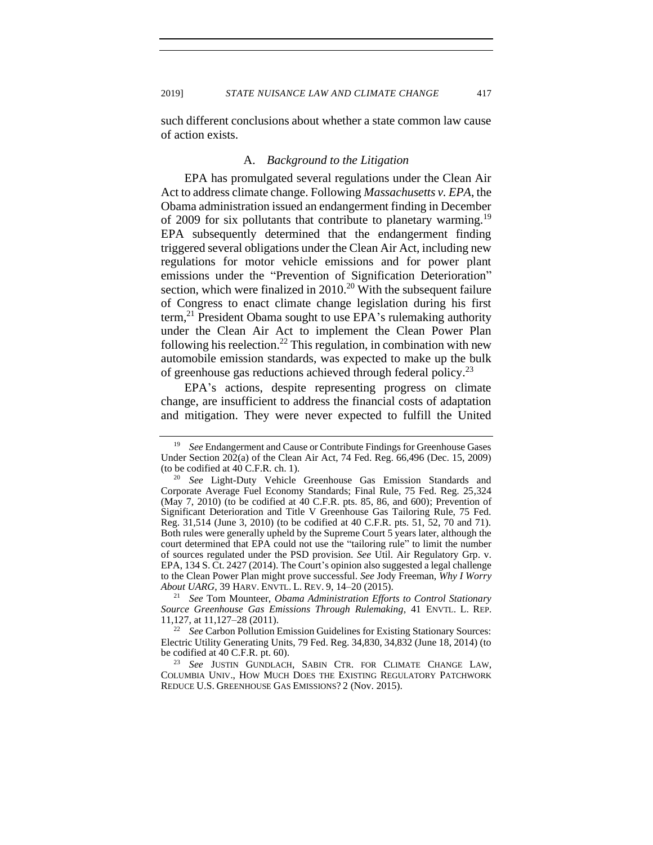2019] *STATE NUISANCE LAW AND CLIMATE CHANGE* 417

<span id="page-5-0"></span>such different conclusions about whether a state common law cause of action exists.

### A. *Background to the Litigation*

EPA has promulgated several regulations under the Clean Air Act to address climate change. Following *Massachusetts v. EPA*, the Obama administration issued an endangerment finding in December of 2009 for six pollutants that contribute to planetary warming.<sup>19</sup> EPA subsequently determined that the endangerment finding triggered several obligations under the Clean Air Act, including new regulations for motor vehicle emissions and for power plant emissions under the "Prevention of Signification Deterioration" section, which were finalized in  $2010^{20}$  With the subsequent failure of Congress to enact climate change legislation during his first term, $^{21}$  President Obama sought to use EPA's rulemaking authority under the Clean Air Act to implement the Clean Power Plan following his reelection.<sup>22</sup> This regulation, in combination with new automobile emission standards, was expected to make up the bulk of greenhouse gas reductions achieved through federal policy.<sup>23</sup>

EPA's actions, despite representing progress on climate change, are insufficient to address the financial costs of adaptation and mitigation. They were never expected to fulfill the United

<sup>19</sup> *See* Endangerment and Cause or Contribute Findings for Greenhouse Gases Under Section 202(a) of the Clean Air Act, 74 Fed. Reg. 66,496 (Dec. 15, 2009) (to be codified at 40 C.F.R. ch. 1).

See Light-Duty Vehicle Greenhouse Gas Emission Standards and Corporate Average Fuel Economy Standards; Final Rule, 75 Fed. Reg. 25,324 (May 7, 2010) (to be codified at 40 C.F.R. pts. 85, 86, and 600); Prevention of Significant Deterioration and Title V Greenhouse Gas Tailoring Rule, 75 Fed. Reg. 31,514 (June 3, 2010) (to be codified at 40 C.F.R. pts. 51, 52, 70 and 71). Both rules were generally upheld by the Supreme Court 5 years later, although the court determined that EPA could not use the "tailoring rule" to limit the number of sources regulated under the PSD provision. *See* Util. Air Regulatory Grp. v. EPA, 134 S. Ct. 2427 (2014). The Court's opinion also suggested a legal challenge to the Clean Power Plan might prove successful. *See* Jody Freeman, *Why I Worry About UARG*, 39 HARV. ENVTL. L. REV. 9, 14–20 (2015).

<sup>21</sup> *See* Tom Mounteer, *Obama Administration Efforts to Control Stationary Source Greenhouse Gas Emissions Through Rulemaking*, 41 ENVTL. L. REP. 11,127, at 11,127–28 (2011).

<sup>&</sup>lt;sup>22</sup> *See* Carbon Pollution Emission Guidelines for Existing Stationary Sources: Electric Utility Generating Units, 79 Fed. Reg. 34,830, 34,832 (June 18, 2014) (to be codified at 40 C.F.R. pt. 60).

<sup>23</sup> *See* JUSTIN GUNDLACH, SABIN CTR. FOR CLIMATE CHANGE LAW, COLUMBIA UNIV., HOW MUCH DOES THE EXISTING REGULATORY PATCHWORK REDUCE U.S. GREENHOUSE GAS EMISSIONS? 2 (Nov. 2015).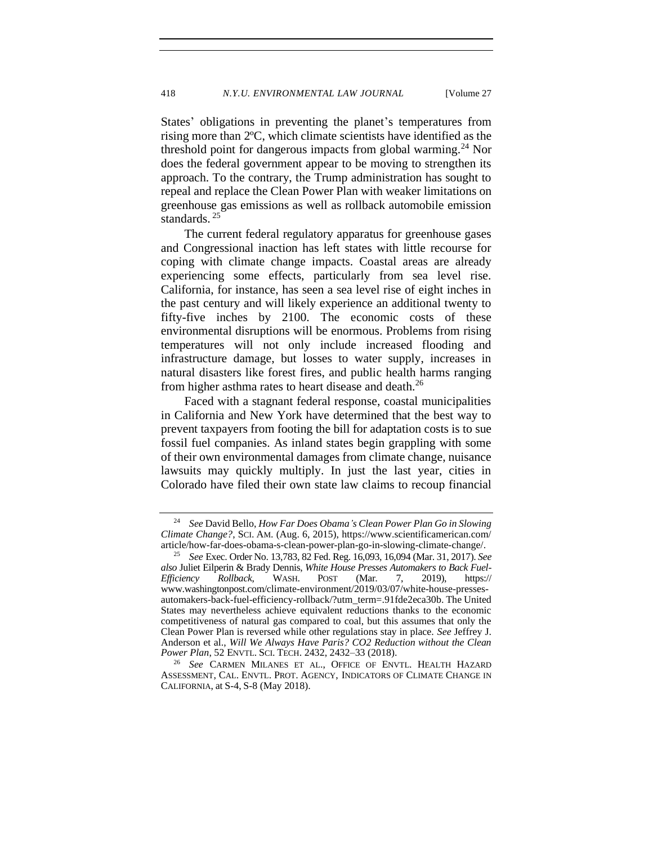States' obligations in preventing the planet's temperatures from rising more than 2ºC, which climate scientists have identified as the threshold point for dangerous impacts from global warming.<sup>24</sup> Nor does the federal government appear to be moving to strengthen its approach. To the contrary, the Trump administration has sought to repeal and replace the Clean Power Plan with weaker limitations on greenhouse gas emissions as well as rollback automobile emission standards.<sup>25</sup>

The current federal regulatory apparatus for greenhouse gases and Congressional inaction has left states with little recourse for coping with climate change impacts. Coastal areas are already experiencing some effects, particularly from sea level rise. California, for instance, has seen a sea level rise of eight inches in the past century and will likely experience an additional twenty to fifty-five inches by 2100. The economic costs of these environmental disruptions will be enormous. Problems from rising temperatures will not only include increased flooding and infrastructure damage, but losses to water supply, increases in natural disasters like forest fires, and public health harms ranging from higher asthma rates to heart disease and death.<sup>26</sup>

Faced with a stagnant federal response, coastal municipalities in California and New York have determined that the best way to prevent taxpayers from footing the bill for adaptation costs is to sue fossil fuel companies. As inland states begin grappling with some of their own environmental damages from climate change, nuisance lawsuits may quickly multiply. In just the last year, cities in Colorado have filed their own state law claims to recoup financial

<sup>24</sup> *See* David Bello, *How Far Does Obama's Clean Power Plan Go in Slowing Climate Change?*, SCI. AM. (Aug. 6, 2015), [https://www.scientificamerican.com/](https://www.scientificamerican.com/article/how-far-does-obama-s-clean-power-plan-go-in-slowing-climate-change/) [article/how-far-does-obama-s-clean-power-plan-go-in-slowing-climate-change/.](https://www.scientificamerican.com/article/how-far-does-obama-s-clean-power-plan-go-in-slowing-climate-change/)

<sup>25</sup> *See* Exec. Order No. 13,783, 82 Fed. Reg. 16,093, 16,094 (Mar. 31, 2017). *See also* Juliet Eilperin & Brady Dennis, *White House Presses Automakers to Back Fuel-Efficiency Rollback*, WASH. POST (Mar. 7, 2019), https:// www.washingtonpost.com/climate-environment/2019/03/07/white-house-pressesautomakers-back-fuel-efficiency-rollback/?utm\_term=.91fde2eca30b. The United States may nevertheless achieve equivalent reductions thanks to the economic competitiveness of natural gas compared to coal, but this assumes that only the Clean Power Plan is reversed while other regulations stay in place. *See* Jeffrey J. Anderson et al., *Will We Always Have Paris? CO2 Reduction without the Clean Power Plan*, 52 ENVTL. SCI. TECH. 2432, 2432–33 (2018).

<sup>26</sup> *See* CARMEN MILANES ET AL., OFFICE OF ENVTL. HEALTH HAZARD ASSESSMENT, CAL. ENVTL. PROT. AGENCY, INDICATORS OF CLIMATE CHANGE IN CALIFORNIA, at S-4, S-8 (May 2018).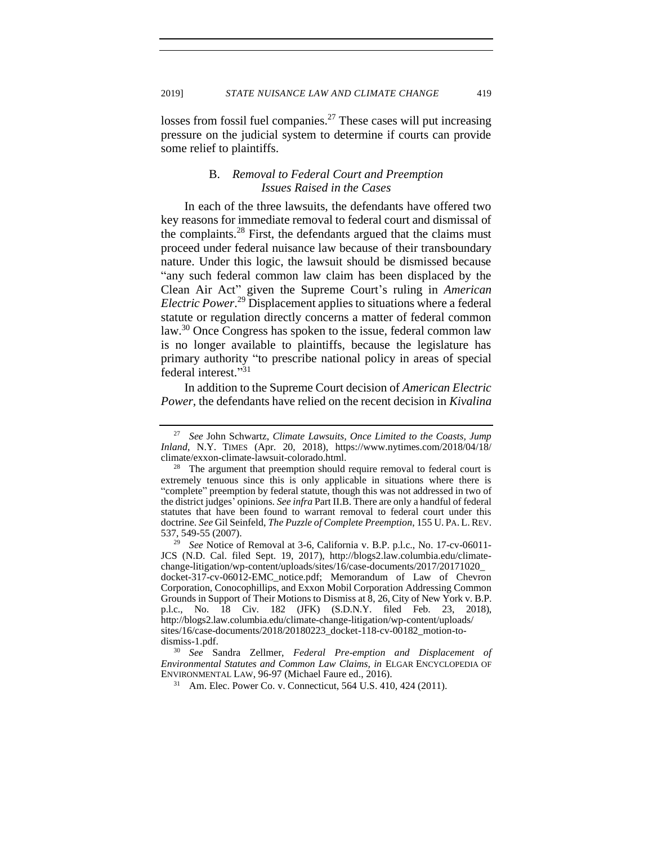<span id="page-7-0"></span>losses from fossil fuel companies.<sup>27</sup> These cases will put increasing pressure on the judicial system to determine if courts can provide some relief to plaintiffs.

## <span id="page-7-1"></span>B. *Removal to Federal Court and Preemption Issues Raised in the Cases*

In each of the three lawsuits, the defendants have offered two key reasons for immediate removal to federal court and dismissal of the complaints.<sup>28</sup> First, the defendants argued that the claims must proceed under federal nuisance law because of their transboundary nature. Under this logic, the lawsuit should be dismissed because "any such federal common law claim has been displaced by the Clean Air Act" given the Supreme Court's ruling in *American Electric Power*. <sup>29</sup> Displacement applies to situations where a federal statute or regulation directly concerns a matter of federal common law.<sup>30</sup> Once Congress has spoken to the issue, federal common law is no longer available to plaintiffs, because the legislature has primary authority "to prescribe national policy in areas of special federal interest."31

In addition to the Supreme Court decision of *American Electric Power,* the defendants have relied on the recent decision in *Kivalina* 

<sup>27</sup> *See* John Schwartz, *Climate Lawsuits, Once Limited to the Coasts, Jump Inland*, N.Y. TIMES (Apr. 20, 2018), [https://www.nytimes.com/2018/04/18/](https://www.nytimes.com/2018/04/18/climate/exxon-climate-lawsuit-colorado.html) [climate/exxon-climate-lawsuit-colorado.html.](https://www.nytimes.com/2018/04/18/climate/exxon-climate-lawsuit-colorado.html)

 $28$  The argument that preemption should require removal to federal court is extremely tenuous since this is only applicable in situations where there is "complete" preemption by federal statute, though this was not addressed in two of the district judges' opinions. *See infra* Part II.B. There are only a handful of federal statutes that have been found to warrant removal to federal court under this doctrine. *See* Gil Seinfeld, *The Puzzle of Complete Preemption*, 155 U. PA. L. REV. 537, 549-55 (2007).

<sup>29</sup> *See* Notice of Removal at 3-6, California v. B.P. p.l.c., No. 17-cv-06011- JCS (N.D. Cal. filed Sept. 19, 2017), http://blogs2.law.columbia.edu/climatechange-litigation/wp-content/uploads/sites/16/case-documents/2017/20171020\_ docket-317-cv-06012-EMC\_notice.pdf; Memorandum of Law of Chevron Corporation, Conocophillips, and Exxon Mobil Corporation Addressing Common Grounds in Support of Their Motions to Dismiss at 8, 26, City of New York v. B.P. p.l.c., No. 18 Civ. 182 (JFK) (S.D.N.Y. filed Feb. 23, 2018), http://blogs2.law.columbia.edu/climate-change-litigation/wp-content/uploads/ sites/16/case-documents/2018/20180223\_docket-118-cv-00182\_motion-todismiss-1.pdf.

<sup>30</sup> *See* Sandra Zellmer, *Federal Pre-emption and Displacement of Environmental Statutes and Common Law Claims, in* ELGAR ENCYCLOPEDIA OF ENVIRONMENTAL LAW, 96-97 (Michael Faure ed., 2016).

<sup>31</sup> Am. Elec. Power Co. v. Connecticut, 564 U.S. 410, 424 (2011).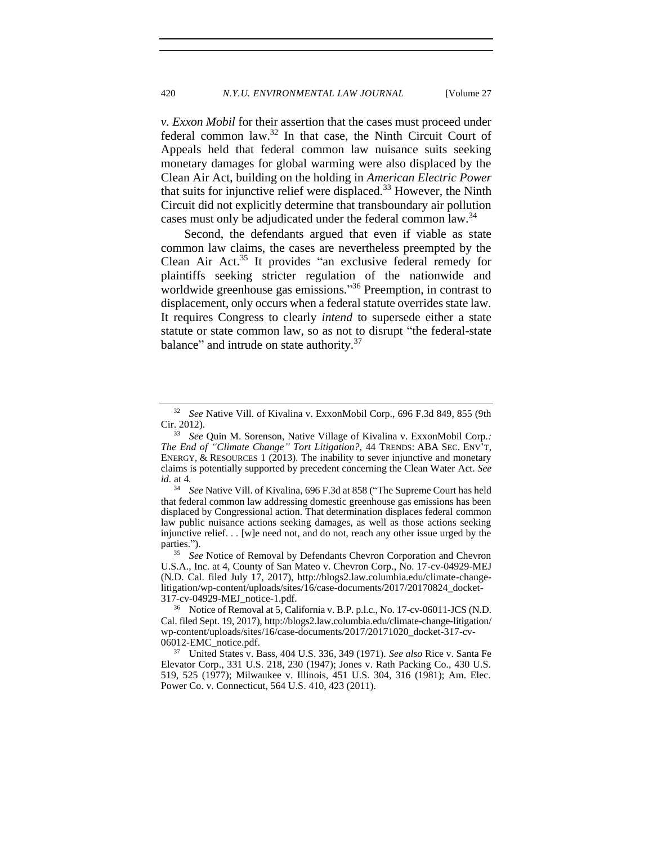*v. Exxon Mobil* for their assertion that the cases must proceed under federal common law.<sup>32</sup> In that case, the Ninth Circuit Court of Appeals held that federal common law nuisance suits seeking monetary damages for global warming were also displaced by the Clean Air Act, building on the holding in *American Electric Power* that suits for injunctive relief were displaced.<sup>33</sup> However, the Ninth Circuit did not explicitly determine that transboundary air pollution cases must only be adjudicated under the federal common law.<sup>34</sup>

Second, the defendants argued that even if viable as state common law claims, the cases are nevertheless preempted by the Clean Air Act.<sup>35</sup> It provides "an exclusive federal remedy for plaintiffs seeking stricter regulation of the nationwide and worldwide greenhouse gas emissions."<sup>36</sup> Preemption, in contrast to displacement, only occurs when a federal statute overrides state law. It requires Congress to clearly *intend* to supersede either a state statute or state common law, so as not to disrupt "the federal-state balance" and intrude on state authority.<sup>37</sup>

<sup>32</sup> *See* Native Vill. of Kivalina v. ExxonMobil Corp., 696 F.3d 849, 855 (9th Cir. 2012).

<sup>33</sup> *See* Quin M. Sorenson, Native Village of Kivalina v. ExxonMobil Corp.*: The End of "Climate Change" Tort Litigation?*, 44 TRENDS: ABA SEC. ENV'T, ENERGY,  $\&$  RESOURCES 1 (2013). The inability to sever injunctive and monetary claims is potentially supported by precedent concerning the Clean Water Act. *See id.* at 4*.*

<sup>34</sup> *See* Native Vill. of Kivalina, 696 F.3d at 858 ("The Supreme Court has held that federal common law addressing domestic greenhouse gas emissions has been displaced by Congressional action. That determination displaces federal common law public nuisance actions seeking damages, as well as those actions seeking injunctive relief. . . [w]e need not, and do not, reach any other issue urged by the parties.").

<sup>&</sup>lt;sup>35</sup> *See* Notice of Removal by Defendants Chevron Corporation and Chevron U.S.A., Inc. at 4, County of San Mateo v. Chevron Corp., No. 17-cv-04929-MEJ (N.D. Cal. filed July 17, 2017), http://blogs2.law.columbia.edu/climate-changelitigation/wp-content/uploads/sites/16/case-documents/2017/20170824\_docket-317-cv-04929-MEJ\_notice-1.pdf.

<sup>36</sup> Notice of Removal at 5, California v. B.P. p.l.c., No. 17-cv-06011-JCS (N.D. Cal. filed Sept. 19, 2017), http://blogs2.law.columbia.edu/climate-change-litigation/ wp-content/uploads/sites/16/case-documents/2017/20171020\_docket-317-cv-06012-EMC\_notice.pdf.

<sup>37</sup> United States v. Bass, 404 U.S. 336, 349 (1971). *See also* Rice v. Santa Fe Elevator Corp., 331 U.S. 218, 230 (1947); Jones v. Rath Packing Co., 430 U.S. 519, 525 (1977); Milwaukee v. Illinois, 451 U.S. 304, 316 (1981); Am. Elec. Power Co. v. Connecticut, 564 U.S. 410, 423 (2011).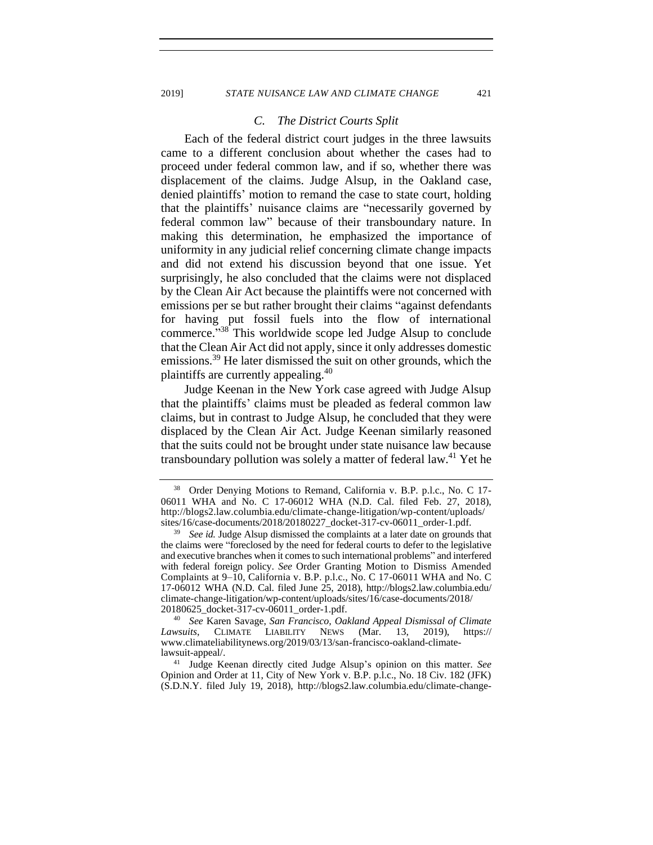#### 2019] *STATE NUISANCE LAW AND CLIMATE CHANGE* 421

#### *C. The District Courts Split*

<span id="page-9-0"></span>Each of the federal district court judges in the three lawsuits came to a different conclusion about whether the cases had to proceed under federal common law, and if so, whether there was displacement of the claims. Judge Alsup, in the Oakland case, denied plaintiffs' motion to remand the case to state court, holding that the plaintiffs' nuisance claims are "necessarily governed by federal common law" because of their transboundary nature. In making this determination, he emphasized the importance of uniformity in any judicial relief concerning climate change impacts and did not extend his discussion beyond that one issue. Yet surprisingly, he also concluded that the claims were not displaced by the Clean Air Act because the plaintiffs were not concerned with emissions per se but rather brought their claims "against defendants for having put fossil fuels into the flow of international commerce."<sup>38</sup> This worldwide scope led Judge Alsup to conclude that the Clean Air Act did not apply, since it only addresses domestic emissions.<sup>39</sup> He later dismissed the suit on other grounds, which the plaintiffs are currently appealing.<sup>40</sup>

Judge Keenan in the New York case agreed with Judge Alsup that the plaintiffs' claims must be pleaded as federal common law claims, but in contrast to Judge Alsup, he concluded that they were displaced by the Clean Air Act. Judge Keenan similarly reasoned that the suits could not be brought under state nuisance law because transboundary pollution was solely a matter of federal law.<sup>41</sup> Yet he

<sup>40</sup> *See* Karen Savage, *San Francisco, Oakland Appeal Dismissal of Climate Lawsuits*, CLIMATE LIABILITY NEWS (Mar. 13, 2019), [https://](https://www.climateliabilitynews.org/2019/03/13/san-francisco-oakland-climate-lawsuit-appeal/) [www.climateliabilitynews.org/2019/03/13/san-francisco-oakland-climate](https://www.climateliabilitynews.org/2019/03/13/san-francisco-oakland-climate-lawsuit-appeal/)[lawsuit-appeal/.](https://www.climateliabilitynews.org/2019/03/13/san-francisco-oakland-climate-lawsuit-appeal/)

<sup>41</sup> Judge Keenan directly cited Judge Alsup's opinion on this matter. *See* Opinion and Order at 11, City of New York v. B.P. p.l.c., No. 18 Civ. 182 (JFK) (S.D.N.Y. filed July 19, 2018), [http://blogs2.law.columbia.edu/climate-change-](http://blogs2.law.columbia.edu/climate-change-litigation/wp-content/uploads/sites/16/case-documents/2018/20180719_docket-118-cv-00182_opinion-and-order-1.pdf)

<sup>&</sup>lt;sup>38</sup> Order Denying Motions to Remand, California v. B.P. p.l.c., No. C 17-06011 WHA and No. C 17-06012 WHA (N.D. Cal. filed Feb. 27, 2018), http://blogs2.law.columbia.edu/climate-change-litigation/wp-content/uploads/ sites/16/case-documents/2018/20180227\_docket-317-cv-06011\_order-1.pdf.

<sup>&</sup>lt;sup>39</sup> *See id.* Judge Alsup dismissed the complaints at a later date on grounds that the claims were "foreclosed by the need for federal courts to defer to the legislative and executive branches when it comes to such international problems" and interfered with federal foreign policy. *See* Order Granting Motion to Dismiss Amended Complaints at 9–10, California v. B.P. p.l.c., No. C 17-06011 WHA and No. C 17-06012 WHA (N.D. Cal. filed June 25, 2018), http://blogs2.law.columbia.edu/ climate-change-litigation/wp-content/uploads/sites/16/case-documents/2018/ 20180625\_docket-317-cv-06011\_order-1.pdf.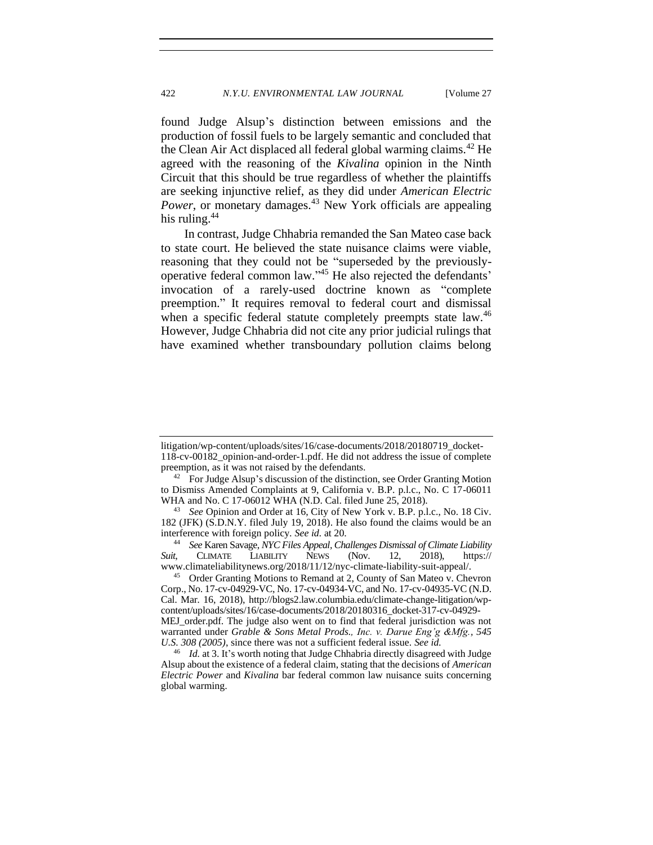found Judge Alsup's distinction between emissions and the production of fossil fuels to be largely semantic and concluded that the Clean Air Act displaced all federal global warming claims.<sup>42</sup> He agreed with the reasoning of the *Kivalina* opinion in the Ninth Circuit that this should be true regardless of whether the plaintiffs are seeking injunctive relief, as they did under *American Electric Power*, or monetary damages.<sup>43</sup> New York officials are appealing his ruling.<sup>44</sup>

In contrast, Judge Chhabria remanded the San Mateo case back to state court. He believed the state nuisance claims were viable, reasoning that they could not be "superseded by the previouslyoperative federal common law." <sup>45</sup> He also rejected the defendants' invocation of a rarely-used doctrine known as "complete preemption." It requires removal to federal court and dismissal when a specific federal statute completely preempts state law.<sup>46</sup> However, Judge Chhabria did not cite any prior judicial rulings that have examined whether transboundary pollution claims belong

[litigation/wp-content/uploads/sites/16/case-documents/2018/20180719\\_docket-](http://blogs2.law.columbia.edu/climate-change-litigation/wp-content/uploads/sites/16/case-documents/2018/20180719_docket-118-cv-00182_opinion-and-order-1.pdf)[118-cv-00182\\_opinion-and-order-1.pdf.](http://blogs2.law.columbia.edu/climate-change-litigation/wp-content/uploads/sites/16/case-documents/2018/20180719_docket-118-cv-00182_opinion-and-order-1.pdf) He did not address the issue of complete preemption, as it was not raised by the defendants.

 $42$  For Judge Alsup's discussion of the distinction, see Order Granting Motion to Dismiss Amended Complaints at 9, California v. B.P. p.l.c., No. C 17-06011 WHA and No. C 17-06012 WHA (N.D. Cal. filed June 25, 2018).

<sup>43</sup> *See* Opinion and Order at 16, City of New York v. B.P. p.l.c., No. 18 Civ. 182 (JFK) (S.D.N.Y. filed July 19, 2018). He also found the claims would be an interference with foreign policy. *See id.* at 20.

<sup>44</sup> *See* Karen Savage, *NYC Files Appeal, Challenges Dismissal of Climate Liability Suit*, CLIMATE LIABILITY NEWS (Nov. 12, 2018), https:// www.climateliabilitynews.org/2018/11/12/nyc-climate-liability-suit-appeal/.

<sup>&</sup>lt;sup>45</sup> Order Granting Motions to Remand at 2, County of San Mateo v. Chevron Corp., No. 17-cv-04929-VC, No. 17-cv-04934-VC, and No. 17-cv-04935-VC (N.D. Cal. Mar. 16, 2018), [http://blogs2.law.columbia.edu/climate-change-litigation/wp](http://blogs2.law.columbia.edu/climate-change-litigation/wp-content/uploads/sites/16/case-documents/2018/20180316_docket-317-cv-04929-MEJ_order.pdf)[content/uploads/sites/16/case-documents/2018/20180316\\_docket-317-cv-04929-](http://blogs2.law.columbia.edu/climate-change-litigation/wp-content/uploads/sites/16/case-documents/2018/20180316_docket-317-cv-04929-MEJ_order.pdf) [MEJ\\_order.pdf.](http://blogs2.law.columbia.edu/climate-change-litigation/wp-content/uploads/sites/16/case-documents/2018/20180316_docket-317-cv-04929-MEJ_order.pdf) The judge also went on to find that federal jurisdiction was not warranted under *Grable & Sons Metal Prods., Inc. v. Darue Eng'g &Mfg., 545 U.S. 308 (2005)*, since there was not a sufficient federal issue. *See id.*

<sup>46</sup> *Id.* at 3. It's worth noting that Judge Chhabria directly disagreed with Judge Alsup about the existence of a federal claim, stating that the decisions of *American Electric Power* and *Kivalina* bar federal common law nuisance suits concerning global warming.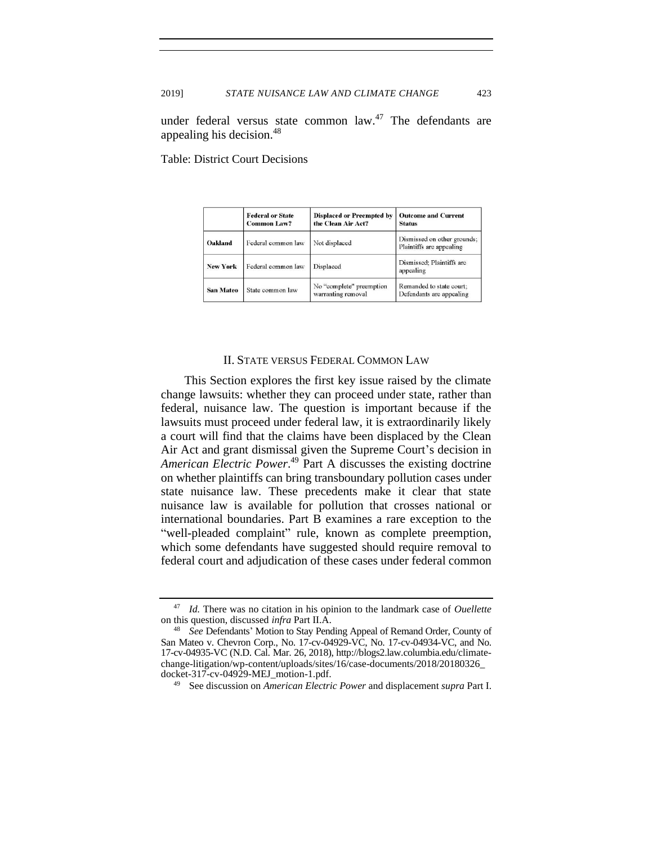under federal versus state common law. $47$  The defendants are appealing his decision.<sup>48</sup>

Table: District Court Decisions

|                  | <b>Federal or State</b><br><b>Common Law?</b> | <b>Displaced or Preempted by</b><br>the Clean Air Act? | <b>Outcome and Current</b><br><b>Status</b>             |
|------------------|-----------------------------------------------|--------------------------------------------------------|---------------------------------------------------------|
| Oakland          | Federal common law                            | Not displaced                                          | Dismissed on other grounds;<br>Plaintiffs are appealing |
| <b>New York</b>  | Federal common law                            | Displaced                                              | Dismissed: Plaintiffs are<br>appealing                  |
| <b>San Mateo</b> | State common law                              | No "complete" preemption<br>warranting removal         | Remanded to state court;<br>Defendants are appealing    |

#### II. STATE VERSUS FEDERAL COMMON LAW

<span id="page-11-0"></span>This Section explores the first key issue raised by the climate change lawsuits: whether they can proceed under state, rather than federal, nuisance law. The question is important because if the lawsuits must proceed under federal law, it is extraordinarily likely a court will find that the claims have been displaced by the Clean Air Act and grant dismissal given the Supreme Court's decision in *American Electric Power*. <sup>49</sup> Part A discusses the existing doctrine on whether plaintiffs can bring transboundary pollution cases under state nuisance law. These precedents make it clear that state nuisance law is available for pollution that crosses national or international boundaries. Part B examines a rare exception to the "well-pleaded complaint" rule, known as complete preemption, which some defendants have suggested should require removal to federal court and adjudication of these cases under federal common

<sup>47</sup> *Id.* There was no citation in his opinion to the landmark case of *Ouellette*  on this question, discussed *infra* Part II.A.

<sup>48</sup> *See* Defendants' Motion to Stay Pending Appeal of Remand Order, County of San Mateo v. Chevron Corp., No. 17-cv-04929-VC, No. 17-cv-04934-VC, and No. 17-cv-04935-VC (N.D. Cal. Mar. 26, 2018), http://blogs2.law.columbia.edu/climatechange-litigation/wp-content/uploads/sites/16/case-documents/2018/20180326\_ docket-317-cv-04929-MEJ\_motion-1.pdf.

<sup>49</sup> See discussion on *American Electric Power* and displacement *supra* Part I.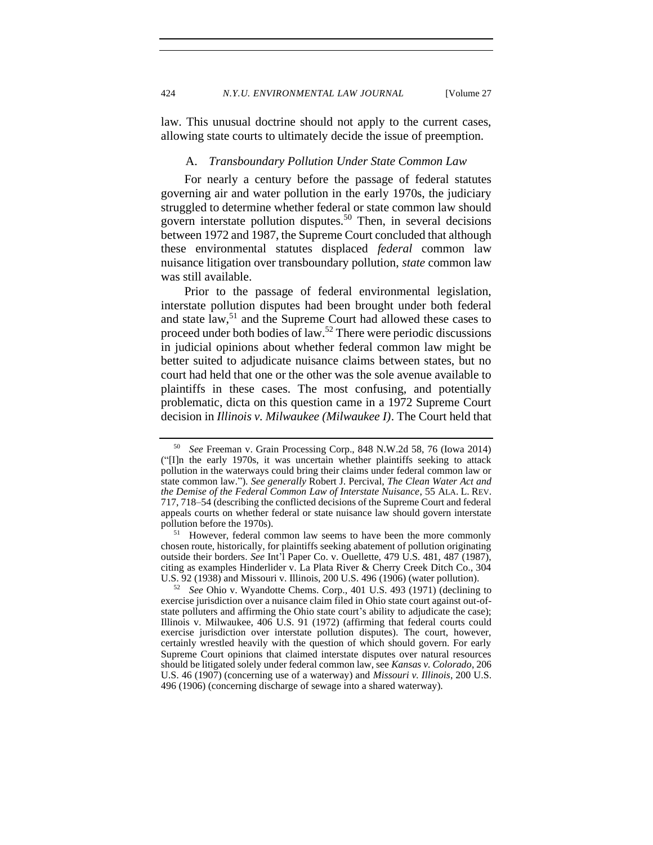<span id="page-12-0"></span>law. This unusual doctrine should not apply to the current cases, allowing state courts to ultimately decide the issue of preemption.

### A. *Transboundary Pollution Under State Common Law*

For nearly a century before the passage of federal statutes governing air and water pollution in the early 1970s, the judiciary struggled to determine whether federal or state common law should govern interstate pollution disputes.<sup>50</sup> Then, in several decisions between 1972 and 1987, the Supreme Court concluded that although these environmental statutes displaced *federal* common law nuisance litigation over transboundary pollution, *state* common law was still available.

Prior to the passage of federal environmental legislation, interstate pollution disputes had been brought under both federal and state law,<sup>51</sup> and the Supreme Court had allowed these cases to proceed under both bodies of law.<sup>52</sup> There were periodic discussions in judicial opinions about whether federal common law might be better suited to adjudicate nuisance claims between states, but no court had held that one or the other was the sole avenue available to plaintiffs in these cases. The most confusing, and potentially problematic, dicta on this question came in a 1972 Supreme Court decision in *Illinois v. Milwaukee (Milwaukee I)*. The Court held that

<sup>50</sup> *See* Freeman v. Grain Processing Corp., 848 N.W.2d 58, 76 (Iowa 2014) ("[I]n the early 1970s, it was uncertain whether plaintiffs seeking to attack pollution in the waterways could bring their claims under federal common law or state common law."). *See generally* Robert J. Percival, *The Clean Water Act and the Demise of the Federal Common Law of Interstate Nuisance*, 55 ALA. L. REV. 717, 718–54 (describing the conflicted decisions of the Supreme Court and federal appeals courts on whether federal or state nuisance law should govern interstate pollution before the 1970s).

<sup>&</sup>lt;sup>51</sup> However, federal common law seems to have been the more commonly chosen route, historically, for plaintiffs seeking abatement of pollution originating outside their borders. *See* Int'l Paper Co. v. Ouellette, 479 U.S. 481, 487 (1987), citing as examples Hinderlider v. La Plata River & Cherry Creek Ditch Co., 304 U.S. 92 (1938) and Missouri v. Illinois, 200 U.S. 496 (1906) (water pollution).

<sup>52</sup> *See* Ohio v. Wyandotte Chems. Corp., 401 U.S. 493 (1971) (declining to exercise jurisdiction over a nuisance claim filed in Ohio state court against out-ofstate polluters and affirming the Ohio state court's ability to adjudicate the case); Illinois v. Milwaukee, 406 U.S. 91 (1972) (affirming that federal courts could exercise jurisdiction over interstate pollution disputes). The court, however, certainly wrestled heavily with the question of which should govern. For early Supreme Court opinions that claimed interstate disputes over natural resources should be litigated solely under federal common law, see *Kansas v. Colorado*, 206 U.S. 46 (1907) (concerning use of a waterway) and *Missouri v. Illinois*, 200 U.S. 496 (1906) (concerning discharge of sewage into a shared waterway).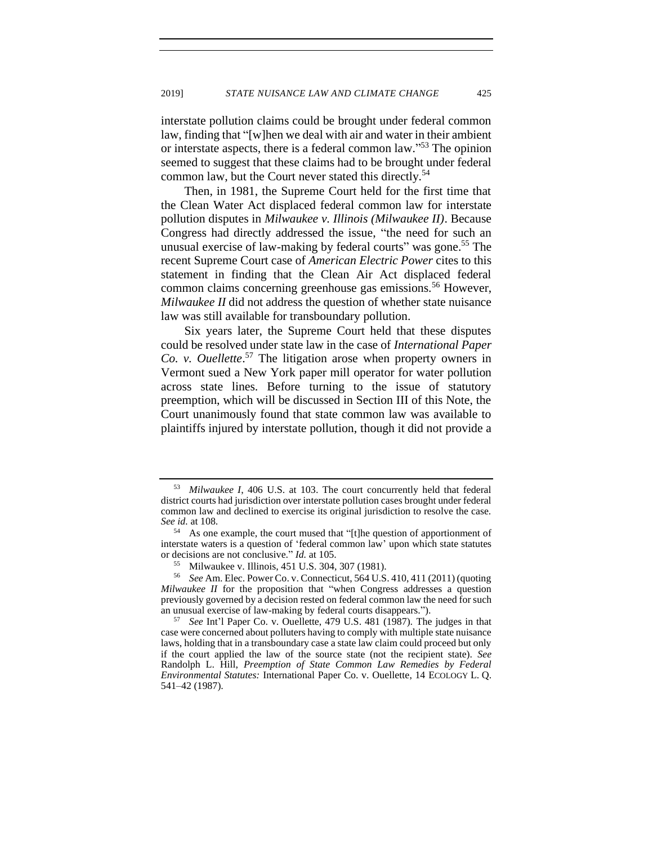interstate pollution claims could be brought under federal common law, finding that "[w]hen we deal with air and water in their ambient or interstate aspects, there is a federal common law."<sup>53</sup> The opinion seemed to suggest that these claims had to be brought under federal common law, but the Court never stated this directly.<sup>54</sup>

Then, in 1981, the Supreme Court held for the first time that the Clean Water Act displaced federal common law for interstate pollution disputes in *Milwaukee v. Illinois (Milwaukee II)*. Because Congress had directly addressed the issue, "the need for such an unusual exercise of law-making by federal courts" was gone.<sup>55</sup> The recent Supreme Court case of *American Electric Power* cites to this statement in finding that the Clean Air Act displaced federal common claims concerning greenhouse gas emissions.<sup>56</sup> However, *Milwaukee II* did not address the question of whether state nuisance law was still available for transboundary pollution.

Six years later, the Supreme Court held that these disputes could be resolved under state law in the case of *International Paper Co. v. Ouellette*. <sup>57</sup> The litigation arose when property owners in Vermont sued a New York paper mill operator for water pollution across state lines. Before turning to the issue of statutory preemption, which will be discussed in Section III of this Note, the Court unanimously found that state common law was available to plaintiffs injured by interstate pollution, though it did not provide a

<sup>53</sup> *Milwaukee I*, 406 U.S. at 103. The court concurrently held that federal district courts had jurisdiction over interstate pollution cases brought under federal common law and declined to exercise its original jurisdiction to resolve the case. *See id.* at 108.

<sup>54</sup> As one example, the court mused that "[t]he question of apportionment of interstate waters is a question of 'federal common law' upon which state statutes or decisions are not conclusive." *Id.* at 105.

Milwaukee v. Illinois, 451 U.S. 304, 307 (1981).

<sup>56</sup> *See* Am. Elec. Power Co. v. Connecticut, 564 U.S. 410, 411 (2011) (quoting *Milwaukee II* for the proposition that "when Congress addresses a question previously governed by a decision rested on federal common law the need for such an unusual exercise of law-making by federal courts disappears.").

<sup>57</sup> *See* Int'l Paper Co. v. Ouellette, 479 U.S. 481 (1987)*.* The judges in that case were concerned about polluters having to comply with multiple state nuisance laws, holding that in a transboundary case a state law claim could proceed but only if the court applied the law of the source state (not the recipient state). *See* Randolph L. Hill, *Preemption of State Common Law Remedies by Federal Environmental Statutes:* International Paper Co. v. Ouellette, 14 ECOLOGY L. Q. 541–42 (1987).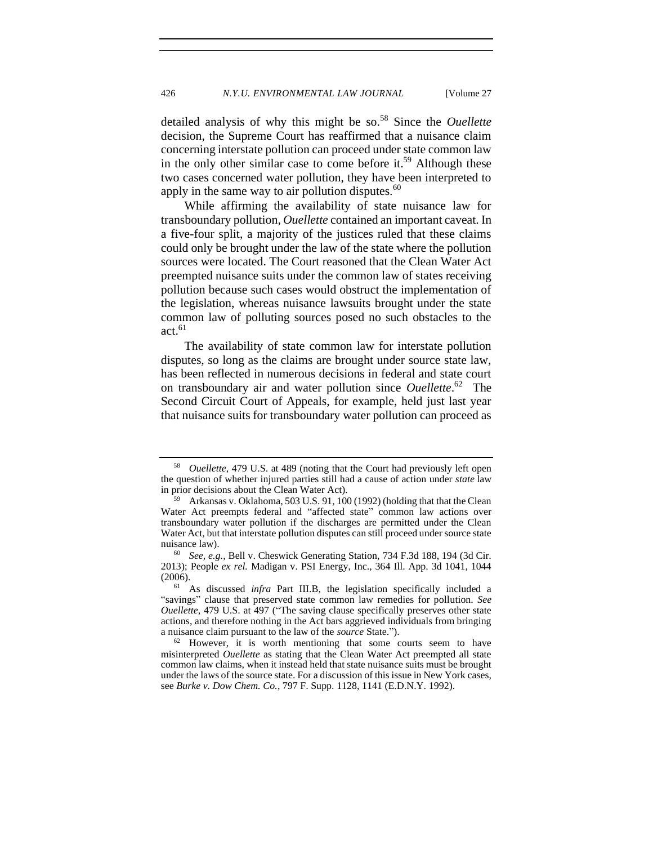detailed analysis of why this might be so.<sup>58</sup> Since the *Ouellette* decision, the Supreme Court has reaffirmed that a nuisance claim concerning interstate pollution can proceed under state common law in the only other similar case to come before it.<sup>59</sup> Although these two cases concerned water pollution, they have been interpreted to apply in the same way to air pollution disputes. $60$ 

While affirming the availability of state nuisance law for transboundary pollution*, Ouellette* contained an important caveat. In a five-four split, a majority of the justices ruled that these claims could only be brought under the law of the state where the pollution sources were located. The Court reasoned that the Clean Water Act preempted nuisance suits under the common law of states receiving pollution because such cases would obstruct the implementation of the legislation, whereas nuisance lawsuits brought under the state common law of polluting sources posed no such obstacles to the  $act.<sup>61</sup>$ 

The availability of state common law for interstate pollution disputes, so long as the claims are brought under source state law, has been reflected in numerous decisions in federal and state court on transboundary air and water pollution since *Ouellette*. 62 The Second Circuit Court of Appeals, for example, held just last year that nuisance suits for transboundary water pollution can proceed as

<sup>58</sup> *Ouellette*, 479 U.S. at 489 (noting that the Court had previously left open the question of whether injured parties still had a cause of action under *state* law in prior decisions about the Clean Water Act).

<sup>59</sup> Arkansas v. Oklahoma, 503 U.S. 91, 100 (1992) (holding that that the Clean Water Act preempts federal and "affected state" common law actions over transboundary water pollution if the discharges are permitted under the Clean Water Act, but that interstate pollution disputes can still proceed under source state nuisance law).

<sup>60</sup> *See, e.g.*, Bell v. Cheswick Generating Station, 734 F.3d 188, 194 (3d Cir. 2013); People *ex rel.* Madigan v. PSI Energy, Inc., 364 Ill. App. 3d 1041, 1044 (2006).

<sup>61</sup> As discussed *infra* Part III.B, the legislation specifically included a "savings" clause that preserved state common law remedies for pollution. *See Ouellette*, 479 U.S. at 497 ("The saving clause specifically preserves other state actions, and therefore nothing in the Act bars aggrieved individuals from bringing a nuisance claim pursuant to the law of the *source* State.").

 $62$  However, it is worth mentioning that some courts seem to have misinterpreted *Ouellette* as stating that the Clean Water Act preempted all state common law claims, when it instead held that state nuisance suits must be brought under the laws of the source state. For a discussion of this issue in New York cases, see *Burke v. Dow Chem. Co.*, 797 F. Supp. 1128, 1141 (E.D.N.Y. 1992).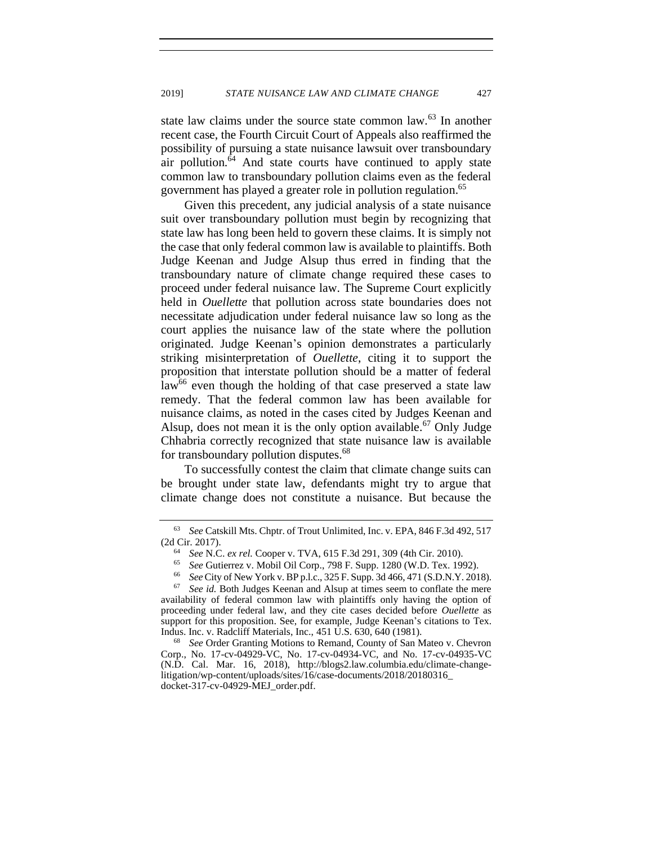state law claims under the source state common law.<sup>63</sup> In another recent case, the Fourth Circuit Court of Appeals also reaffirmed the possibility of pursuing a state nuisance lawsuit over transboundary air pollution.<sup>64</sup> And state courts have continued to apply state common law to transboundary pollution claims even as the federal government has played a greater role in pollution regulation.<sup>65</sup>

Given this precedent, any judicial analysis of a state nuisance suit over transboundary pollution must begin by recognizing that state law has long been held to govern these claims. It is simply not the case that only federal common law is available to plaintiffs. Both Judge Keenan and Judge Alsup thus erred in finding that the transboundary nature of climate change required these cases to proceed under federal nuisance law. The Supreme Court explicitly held in *Ouellette* that pollution across state boundaries does not necessitate adjudication under federal nuisance law so long as the court applies the nuisance law of the state where the pollution originated. Judge Keenan's opinion demonstrates a particularly striking misinterpretation of *Ouellette*, citing it to support the proposition that interstate pollution should be a matter of federal  $law<sup>66</sup>$  even though the holding of that case preserved a state law remedy. That the federal common law has been available for nuisance claims, as noted in the cases cited by Judges Keenan and Alsup, does not mean it is the only option available.<sup>67</sup> Only Judge Chhabria correctly recognized that state nuisance law is available for transboundary pollution disputes.<sup>68</sup>

To successfully contest the claim that climate change suits can be brought under state law, defendants might try to argue that climate change does not constitute a nuisance. But because the

<sup>63</sup> *See* Catskill Mts. Chptr. of Trout Unlimited, Inc. v. EPA, 846 F.3d 492, 517 (2d Cir. 2017).

<sup>64</sup> *See* N.C. *ex rel.* Cooper v. TVA, 615 F.3d 291, 309 (4th Cir. 2010).

<sup>65</sup> *See* Gutierrez v. Mobil Oil Corp., 798 F. Supp. 1280 (W.D. Tex. 1992).

<sup>66</sup> *See* City of New York v. BP p.l.c., 325 F. Supp. 3d 466, 471 (S.D.N.Y. 2018).

See id. Both Judges Keenan and Alsup at times seem to conflate the mere availability of federal common law with plaintiffs only having the option of proceeding under federal law, and they cite cases decided before *Ouellette* as support for this proposition. See, for example, Judge Keenan's citations to Tex. Indus. Inc. v. Radcliff Materials, Inc., 451 U.S. 630, 640 (1981).

<sup>68</sup> *See* Order Granting Motions to Remand, County of San Mateo v. Chevron Corp., No. 17-cv-04929-VC, No. 17-cv-04934-VC, and No. 17-cv-04935-VC (N.D. Cal. Mar. 16, 2018), http://blogs2.law.columbia.edu/climate-changelitigation/wp-content/uploads/sites/16/case-documents/2018/20180316\_ docket-317-cv-04929-MEJ\_order.pdf.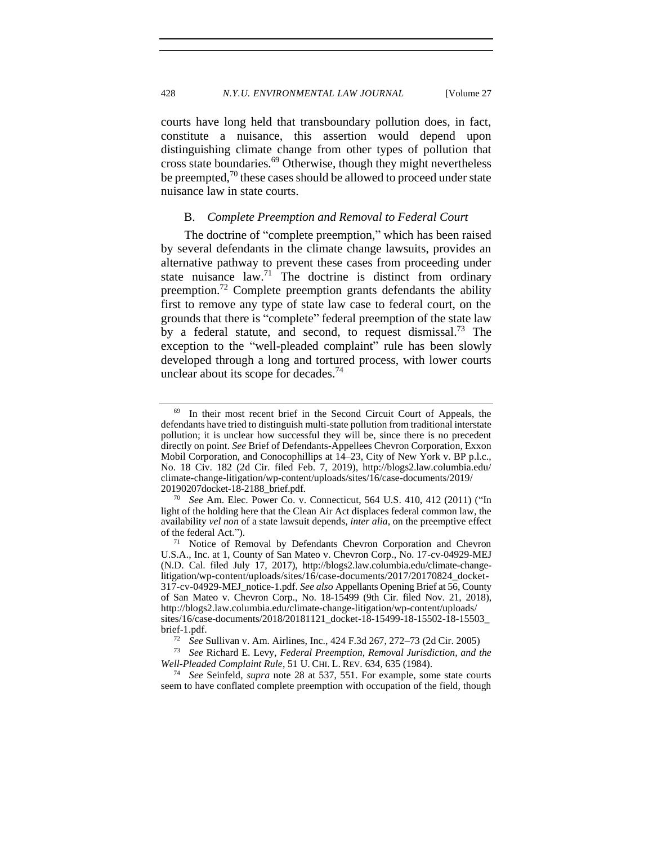courts have long held that transboundary pollution does, in fact, constitute a nuisance, this assertion would depend upon distinguishing climate change from other types of pollution that cross state boundaries.<sup>69</sup> Otherwise, though they might nevertheless be preempted,<sup>70</sup> these cases should be allowed to proceed under state nuisance law in state courts.

#### <span id="page-16-1"></span><span id="page-16-0"></span>B. *Complete Preemption and Removal to Federal Court*

The doctrine of "complete preemption," which has been raised by several defendants in the climate change lawsuits, provides an alternative pathway to prevent these cases from proceeding under state nuisance law.<sup>71</sup> The doctrine is distinct from ordinary preemption.<sup>72</sup> Complete preemption grants defendants the ability first to remove any type of state law case to federal court, on the grounds that there is "complete" federal preemption of the state law by a federal statute, and second, to request dismissal.<sup>73</sup> The exception to the "well-pleaded complaint" rule has been slowly developed through a long and tortured process, with lower courts unclear about its scope for decades.<sup>74</sup>

<sup>&</sup>lt;sup>69</sup> In their most recent brief in the Second Circuit Court of Appeals, the defendants have tried to distinguish multi-state pollution from traditional interstate pollution; it is unclear how successful they will be, since there is no precedent directly on point. *See* Brief of Defendants-Appellees Chevron Corporation, Exxon Mobil Corporation, and Conocophillips at 14–23, City of New York v. BP p.l.c., No. 18 Civ. 182 (2d Cir. filed Feb. 7, 2019), http://blogs2.law.columbia.edu/ climate-change-litigation/wp-content/uploads/sites/16/case-documents/2019/ 20190207docket-18-2188\_brief.pdf.

<sup>70</sup> *See* Am. Elec. Power Co. v. Connecticut, 564 U.S. 410, 412 (2011) ("In light of the holding here that the Clean Air Act displaces federal common law, the availability *vel non* of a state lawsuit depends, *inter alia*, on the preemptive effect of the federal Act.").

<sup>71</sup> Notice of Removal by Defendants Chevron Corporation and Chevron U.S.A., Inc. at 1, County of San Mateo v. Chevron Corp., No. 17-cv-04929-MEJ (N.D. Cal. filed July 17, 2017), http://blogs2.law.columbia.edu/climate-changelitigation/wp-content/uploads/sites/16/case-documents/2017/20170824\_docket-317-cv-04929-MEJ\_notice-1.pdf. *See also* Appellants Opening Brief at 56, County of San Mateo v. Chevron Corp., No. 18-15499 (9th Cir. filed Nov. 21, 2018), http://blogs2.law.columbia.edu/climate-change-litigation/wp-content/uploads/ sites/16/case-documents/2018/20181121\_docket-18-15499-18-15502-18-15503\_ brief-1.pdf.

<sup>72</sup> *See* Sullivan v. Am. Airlines, Inc., 424 F.3d 267, 272–73 (2d Cir. 2005)

<sup>73</sup> *See* Richard E. Levy, *Federal Preemption, Removal Jurisdiction, and the Well-Pleaded Complaint Rule*, 51 U. CHI. L. REV. 634, 635 (1984).

<sup>74</sup> *See* Seinfeld, *supra* note [28](#page-7-1) at 537, 551. For example, some state courts seem to have conflated complete preemption with occupation of the field, though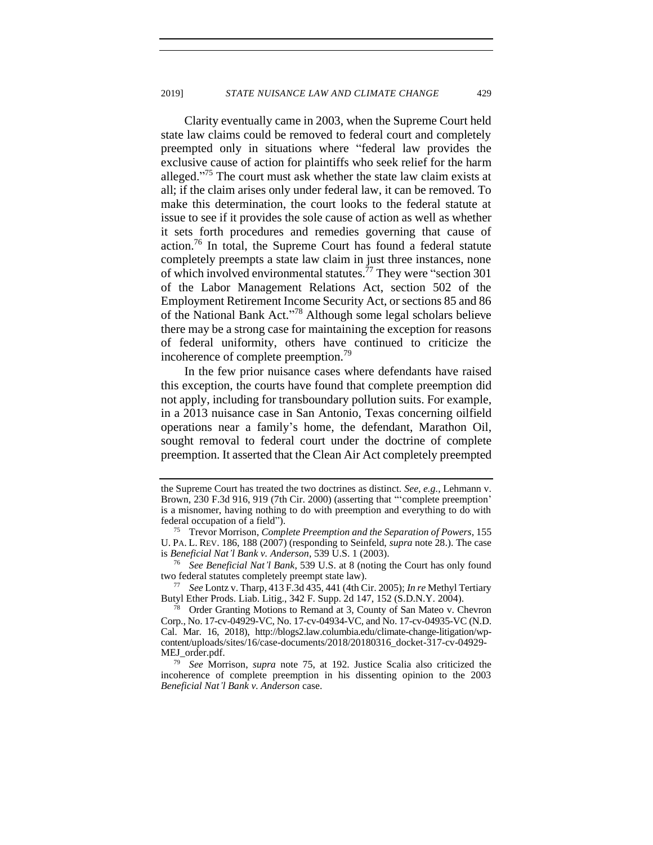<span id="page-17-0"></span>Clarity eventually came in 2003, when the Supreme Court held state law claims could be removed to federal court and completely preempted only in situations where "federal law provides the exclusive cause of action for plaintiffs who seek relief for the harm alleged."<sup>75</sup> The court must ask whether the state law claim exists at all; if the claim arises only under federal law, it can be removed. To make this determination, the court looks to the federal statute at issue to see if it provides the sole cause of action as well as whether it sets forth procedures and remedies governing that cause of action.<sup>76</sup> In total, the Supreme Court has found a federal statute completely preempts a state law claim in just three instances, none of which involved environmental statutes.<sup>77</sup> They were "section 301 of the Labor Management Relations Act, section 502 of the Employment Retirement Income Security Act, or sections 85 and 86 of the National Bank Act." <sup>78</sup> Although some legal scholars believe there may be a strong case for maintaining the exception for reasons of federal uniformity, others have continued to criticize the incoherence of complete preemption.<sup>79</sup>

In the few prior nuisance cases where defendants have raised this exception, the courts have found that complete preemption did not apply, including for transboundary pollution suits. For example, in a 2013 nuisance case in San Antonio, Texas concerning oilfield operations near a family's home, the defendant, Marathon Oil, sought removal to federal court under the doctrine of complete preemption. It asserted that the Clean Air Act completely preempted

<sup>76</sup> *See Beneficial Nat'l Bank*, 539 U.S. at 8 (noting the Court has only found two federal statutes completely preempt state law).

<sup>77</sup> *See* Lontz v. Tharp, 413 F.3d 435, 441 (4th Cir. 2005); *In re* Methyl Tertiary Butyl Ether Prods. Liab. Litig., 342 F. Supp. 2d 147, 152 (S.D.N.Y. 2004).

Order Granting Motions to Remand at 3, County of San Mateo v. Chevron Corp., No. 17-cv-04929-VC, No. 17-cv-04934-VC, and No. 17-cv-04935-VC (N.D. Cal. Mar. 16, 2018), http://blogs2.law.columbia.edu/climate-change-litigation/wpcontent/uploads/sites/16/case-documents/2018/20180316\_docket-317-cv-04929- MEJ\_order.pdf.

<sup>79</sup> *See* Morrison, *supra* note [75,](#page-17-0) at 192. Justice Scalia also criticized the incoherence of complete preemption in his dissenting opinion to the 2003 *Beneficial Nat'l Bank v. Anderson* case.

the Supreme Court has treated the two doctrines as distinct. *See, e.g.*, Lehmann v. Brown, 230 F.3d 916, 919 (7th Cir. 2000) (asserting that "'complete preemption' is a misnomer, having nothing to do with preemption and everything to do with federal occupation of a field").

<sup>75</sup> Trevor Morrison, *Complete Preemption and the Separation of Powers*, 155 U. PA. L. REV. 186, 188 (2007) (responding to Seinfeld, *supra* note [28.\)](#page-7-1). The case is *Beneficial Nat'l Bank v. Anderson*, 539 U.S. 1 (2003).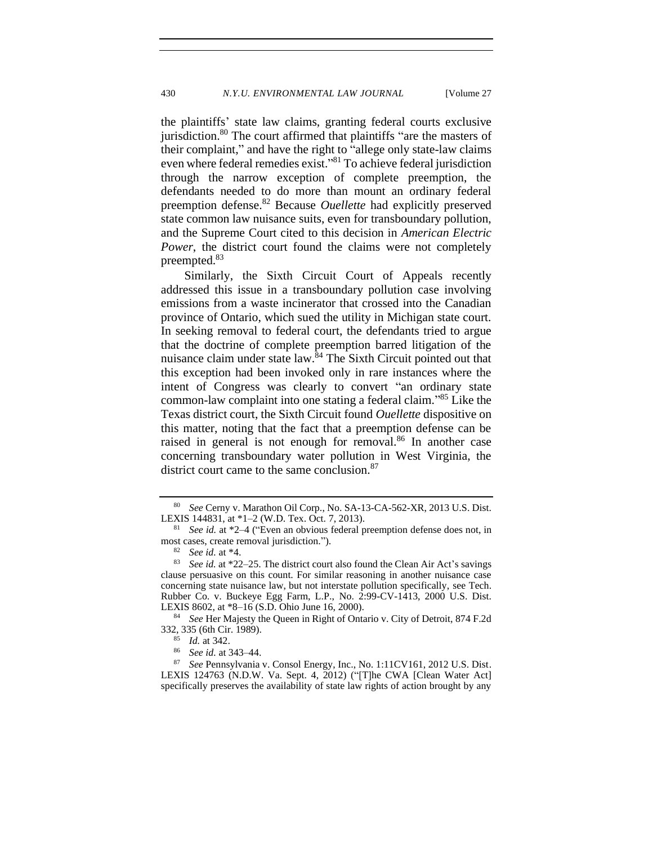the plaintiffs' state law claims, granting federal courts exclusive jurisdiction.<sup>80</sup> The court affirmed that plaintiffs "are the masters of their complaint," and have the right to "allege only state-law claims even where federal remedies exist."<sup>81</sup> To achieve federal jurisdiction through the narrow exception of complete preemption, the defendants needed to do more than mount an ordinary federal preemption defense.<sup>82</sup> Because *Ouellette* had explicitly preserved state common law nuisance suits, even for transboundary pollution, and the Supreme Court cited to this decision in *American Electric Power*, the district court found the claims were not completely preempted.<sup>83</sup>

Similarly, the Sixth Circuit Court of Appeals recently addressed this issue in a transboundary pollution case involving emissions from a waste incinerator that crossed into the Canadian province of Ontario, which sued the utility in Michigan state court. In seeking removal to federal court, the defendants tried to argue that the doctrine of complete preemption barred litigation of the nuisance claim under state law. $84$  The Sixth Circuit pointed out that this exception had been invoked only in rare instances where the intent of Congress was clearly to convert "an ordinary state common-law complaint into one stating a federal claim." <sup>85</sup> Like the Texas district court, the Sixth Circuit found *Ouellette* dispositive on this matter, noting that the fact that a preemption defense can be raised in general is not enough for removal.<sup>86</sup> In another case concerning transboundary water pollution in West Virginia, the district court came to the same conclusion.<sup>87</sup>

<sup>80</sup> *See* Cerny v. Marathon Oil Corp., No. SA-13-CA-562-XR, 2013 U.S. Dist. LEXIS 144831, at \*1–2 (W.D. Tex. Oct. 7, 2013).

<sup>81</sup> *See id.* at \*2–4 ("Even an obvious federal preemption defense does not, in most cases, create removal jurisdiction.").

 $\frac{82}{83}$  *See id.* at \*4.

See *id.* at \*22–25. The district court also found the Clean Air Act's savings clause persuasive on this count. For similar reasoning in another nuisance case concerning state nuisance law, but not interstate pollution specifically, see Tech. Rubber Co. v. Buckeye Egg Farm, L.P., No. 2:99-CV-1413, 2000 U.S. Dist. LEXIS 8602, at \*8–16 (S.D. Ohio June 16, 2000).

<sup>84</sup> *See* Her Majesty the Queen in Right of Ontario v. City of Detroit, 874 F.2d 332, 335 (6th Cir. 1989).

<sup>85</sup> *Id.* at 342.

<sup>86</sup> *See id.* at 343–44.

<sup>87</sup> *See* Pennsylvania v. Consol Energy, Inc., No. 1:11CV161, 2012 U.S. Dist. LEXIS 124763 (N.D.W. Va. Sept. 4, 2012) ("[T]he CWA [Clean Water Act] specifically preserves the availability of state law rights of action brought by any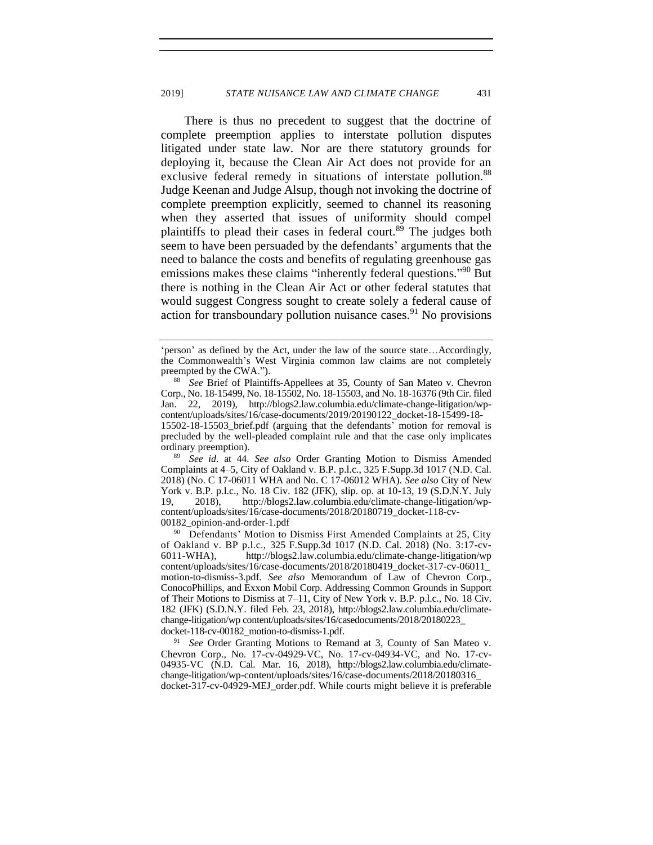There is thus no precedent to suggest that the doctrine of complete preemption applies to interstate pollution disputes litigated under state law. Nor are there statutory grounds for deploying it, because the Clean Air Act does not provide for an exclusive federal remedy in situations of interstate pollution.<sup>88</sup> Judge Keenan and Judge Alsup, though not invoking the doctrine of complete preemption explicitly, seemed to channel its reasoning when they asserted that issues of uniformity should compel plaintiffs to plead their cases in federal court.<sup>89</sup> The judges both seem to have been persuaded by the defendants' arguments that the need to balance the costs and benefits of regulating greenhouse gas emissions makes these claims "inherently federal questions."<sup>90</sup> But there is nothing in the Clean Air Act or other federal statutes that would suggest Congress sought to create solely a federal cause of action for transboundary pollution nuisance cases.<sup>91</sup> No provisions

<sup>89</sup> *See id.* at 44*. See also* Order Granting Motion to Dismiss Amended Complaints at 4–5, City of Oakland v. B.P. p.l.c., 325 F.Supp.3d 1017 (N.D. Cal. 2018) (No. C 17-06011 WHA and No. C 17-06012 WHA). *See also* City of New York v. B.P. p.l.c., No. 18 Civ. 182 (JFK), slip. op. at 10-13, 19 (S.D.N.Y. July 19, 2018), http://blogs2.law.columbia.edu/climate-change-litigation/wpcontent/uploads/sites/16/case-documents/2018/20180719\_docket-118-cv-00182\_opinion-and-order-1.pdf

<sup>90</sup> Defendants' Motion to Dismiss First Amended Complaints at 25, City of Oakland v. BP p.l.c., 325 F.Supp.3d 1017 (N.D. Cal. 2018) (No. 3:17-cv-6011-WHA), http://blogs2.law.columbia.edu/climate-change-litigation/wp content/uploads/sites/16/case-documents/2018/20180419\_docket-317-cv-06011\_ motion-to-dismiss-3.pdf. *See also* Memorandum of Law of Chevron Corp., ConocoPhillips, and Exxon Mobil Corp. Addressing Common Grounds in Support of Their Motions to Dismiss at 7–11, City of New York v. B.P. p.l.c., No. 18 Civ. 182 (JFK) (S.D.N.Y. filed Feb. 23, 2018), http://blogs2.law.columbia.edu/climatechange-litigation/wp content/uploads/sites/16/casedocuments/2018/20180223\_ docket-118-cv-00182\_motion-to-dismiss-1.pdf.

<sup>91</sup> *See* Order Granting Motions to Remand at 3, County of San Mateo v. Chevron Corp., No. 17-cv-04929-VC, No. 17-cv-04934-VC, and No. 17-cv-04935-VC (N.D. Cal. Mar. 16, 2018), http://blogs2.law.columbia.edu/climatechange-litigation/wp-content/uploads/sites/16/case-documents/2018/20180316\_ docket-317-cv-04929-MEJ\_order.pdf. While courts might believe it is preferable

<sup>&#</sup>x27;person' as defined by the Act, under the law of the source state…Accordingly, the Commonwealth's West Virginia common law claims are not completely preempted by the CWA.").

<sup>88</sup> *See* Brief of Plaintiffs-Appellees at 35, County of San Mateo v. Chevron Corp., No. 18-15499, No. 18-15502, No. 18-15503, and No. 18-16376 (9th Cir. filed Jan. 22, 2019), http://blogs2.law.columbia.edu/climate-change-litigation/wpcontent/uploads/sites/16/case-documents/2019/20190122\_docket-18-15499-18- 15502-18-15503\_brief.pdf (arguing that the defendants' motion for removal is precluded by the well-pleaded complaint rule and that the case only implicates ordinary preemption).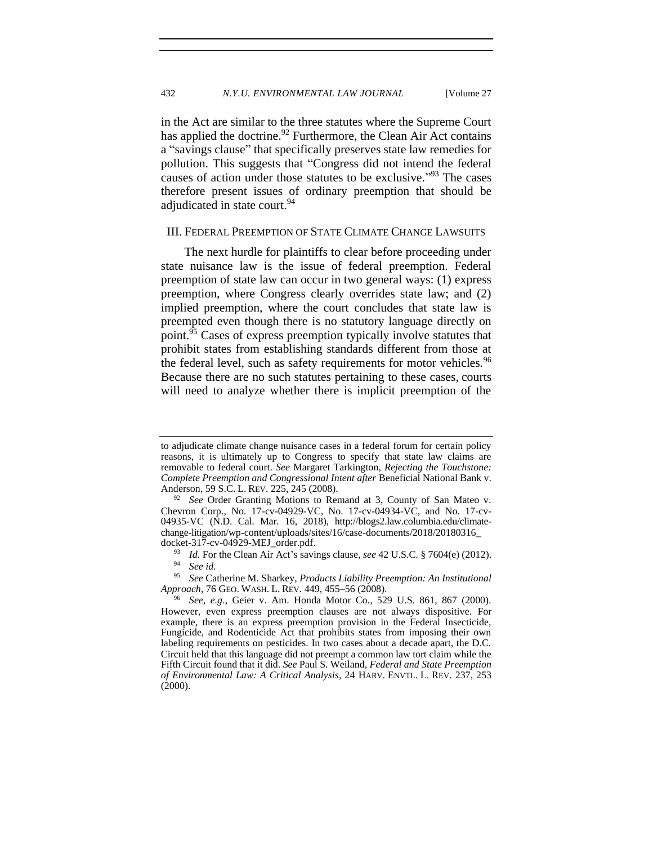in the Act are similar to the three statutes where the Supreme Court has applied the doctrine.<sup>92</sup> Furthermore, the Clean Air Act contains a "savings clause" that specifically preserves state law remedies for pollution. This suggests that "Congress did not intend the federal causes of action under those statutes to be exclusive."<sup>93</sup> The cases therefore present issues of ordinary preemption that should be adjudicated in state court.<sup>94</sup>

#### <span id="page-20-0"></span>III. FEDERAL PREEMPTION OF STATE CLIMATE CHANGE LAWSUITS

<span id="page-20-1"></span>The next hurdle for plaintiffs to clear before proceeding under state nuisance law is the issue of federal preemption. Federal preemption of state law can occur in two general ways: (1) express preemption, where Congress clearly overrides state law; and (2) implied preemption, where the court concludes that state law is preempted even though there is no statutory language directly on point.<sup>95</sup> Cases of express preemption typically involve statutes that prohibit states from establishing standards different from those at the federal level, such as safety requirements for motor vehicles.<sup>96</sup> Because there are no such statutes pertaining to these cases, courts will need to analyze whether there is implicit preemption of the

to adjudicate climate change nuisance cases in a federal forum for certain policy reasons, it is ultimately up to Congress to specify that state law claims are removable to federal court. *See* Margaret Tarkington, *Rejecting the Touchstone: Complete Preemption and Congressional Intent after* Beneficial National Bank v. Anderson, 59 S.C. L. REV. 225, 245 (2008).

<sup>&</sup>lt;sup>92</sup> *See* Order Granting Motions to Remand at 3, County of San Mateo v. Chevron Corp., No. 17-cv-04929-VC, No. 17-cv-04934-VC, and No. 17-cv-04935-VC (N.D. Cal. Mar. 16, 2018), http://blogs2.law.columbia.edu/climatechange-litigation/wp-content/uploads/sites/16/case-documents/2018/20180316\_ docket-317-cv-04929-MEJ\_order.pdf.

<sup>93</sup> *Id.* For the Clean Air Act's savings clause, *see* 42 U.S.C. § 7604(e) (2012).

<sup>&</sup>lt;sup>94</sup> *See id.*<br><sup>95</sup> *See Ce* 

<sup>95</sup> *See* Catherine M. Sharkey, *Products Liability Preemption: An Institutional Approach*, 76 GEO. WASH. L. REV. 449, 455–56 (2008).

<sup>96</sup> *See, e.g*., Geier v. Am. Honda Motor Co., 529 U.S. 861, 867 (2000). However, even express preemption clauses are not always dispositive. For example, there is an express preemption provision in the Federal Insecticide, Fungicide, and Rodenticide Act that prohibits states from imposing their own labeling requirements on pesticides. In two cases about a decade apart, the D.C. Circuit held that this language did not preempt a common law tort claim while the Fifth Circuit found that it did. *See* Paul S. Weiland, *Federal and State Preemption of Environmental Law: A Critical Analysis*, 24 HARV. ENVTL. L. REV. 237, 253 (2000).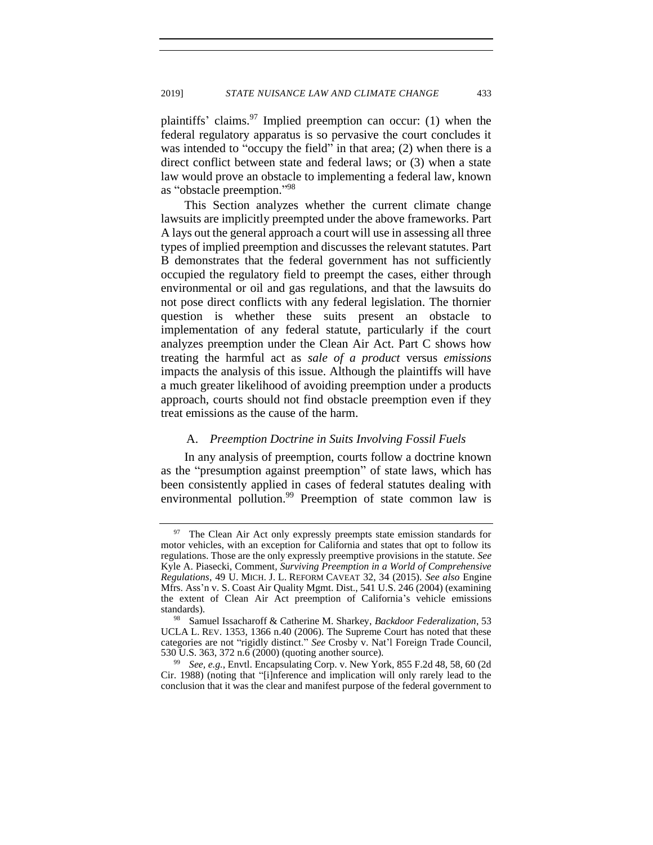<span id="page-21-2"></span>plaintiffs' claims. <sup>97</sup> Implied preemption can occur: (1) when the federal regulatory apparatus is so pervasive the court concludes it was intended to "occupy the field" in that area; (2) when there is a direct conflict between state and federal laws; or (3) when a state law would prove an obstacle to implementing a federal law, known as "obstacle preemption." 98

This Section analyzes whether the current climate change lawsuits are implicitly preempted under the above frameworks. Part A lays out the general approach a court will use in assessing all three types of implied preemption and discusses the relevant statutes. Part B demonstrates that the federal government has not sufficiently occupied the regulatory field to preempt the cases, either through environmental or oil and gas regulations, and that the lawsuits do not pose direct conflicts with any federal legislation. The thornier question is whether these suits present an obstacle to implementation of any federal statute, particularly if the court analyzes preemption under the Clean Air Act. Part C shows how treating the harmful act as *sale of a product* versus *emissions*  impacts the analysis of this issue. Although the plaintiffs will have a much greater likelihood of avoiding preemption under a products approach, courts should not find obstacle preemption even if they treat emissions as the cause of the harm.

### <span id="page-21-1"></span>A. *Preemption Doctrine in Suits Involving Fossil Fuels*

<span id="page-21-0"></span>In any analysis of preemption, courts follow a doctrine known as the "presumption against preemption" of state laws, which has been consistently applied in cases of federal statutes dealing with environmental pollution.<sup>99</sup> Preemption of state common law is

The Clean Air Act only expressly preempts state emission standards for motor vehicles, with an exception for California and states that opt to follow its regulations. Those are the only expressly preemptive provisions in the statute. *See*  Kyle A. Piasecki, Comment*, Surviving Preemption in a World of Comprehensive Regulations*, 49 U. MICH. J. L. REFORM CAVEAT 32, 34 (2015). *See also* Engine Mfrs. Ass'n v. S. Coast Air Quality Mgmt. Dist., 541 U.S. 246 (2004) (examining the extent of Clean Air Act preemption of California's vehicle emissions standards).

<sup>98</sup> Samuel Issacharoff & Catherine M. Sharkey, *Backdoor Federalization*, 53 UCLA L. REV. 1353, 1366 n.40 (2006). The Supreme Court has noted that these categories are not "rigidly distinct." *See* Crosby v. Nat'l Foreign Trade Council, 530 U.S. 363, 372 n.6 (2000) (quoting another source).

<sup>99</sup> *See, e.g.*, Envtl. Encapsulating Corp. v. New York, 855 F.2d 48, 58, 60 (2d Cir. 1988) (noting that "[i]nference and implication will only rarely lead to the conclusion that it was the clear and manifest purpose of the federal government to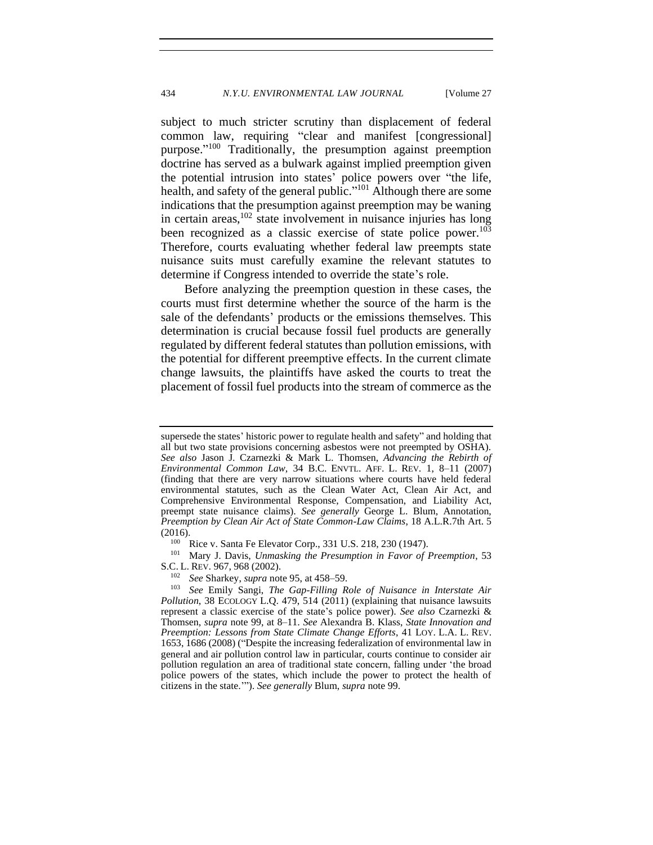subject to much stricter scrutiny than displacement of federal common law, requiring "clear and manifest [congressional] purpose."<sup>100</sup> Traditionally, the presumption against preemption doctrine has served as a bulwark against implied preemption given the potential intrusion into states' police powers over "the life, health, and safety of the general public."<sup>101</sup> Although there are some indications that the presumption against preemption may be waning in certain areas,  $102$  state involvement in nuisance injuries has long been recognized as a classic exercise of state police power.<sup>103</sup> Therefore, courts evaluating whether federal law preempts state nuisance suits must carefully examine the relevant statutes to determine if Congress intended to override the state's role.

Before analyzing the preemption question in these cases, the courts must first determine whether the source of the harm is the sale of the defendants' products or the emissions themselves. This determination is crucial because fossil fuel products are generally regulated by different federal statutes than pollution emissions, with the potential for different preemptive effects. In the current climate change lawsuits, the plaintiffs have asked the courts to treat the placement of fossil fuel products into the stream of commerce as the

<sup>101</sup> Mary J. Davis, *Unmasking the Presumption in Favor of Preemption*, 53 S.C. L. REV. 967, 968 (2002).

supersede the states' historic power to regulate health and safety" and holding that all but two state provisions concerning asbestos were not preempted by OSHA). *See also* Jason J. Czarnezki & Mark L. Thomsen, *Advancing the Rebirth of Environmental Common Law,* 34 B.C. ENVTL. AFF. L. REV. 1, 8–11 (2007) (finding that there are very narrow situations where courts have held federal environmental statutes, such as the Clean Water Act, Clean Air Act, and Comprehensive Environmental Response, Compensation, and Liability Act, preempt state nuisance claims). *See generally* George L. Blum, Annotation, *Preemption by Clean Air Act of State Common-Law Claims*, 18 A.L.R.7th Art. 5 (2016).

<sup>&</sup>lt;sup>100</sup> Rice v. Santa Fe Elevator Corp., 331 U.S. 218, 230 (1947).

<sup>102</sup> *See* Sharkey, *supra* not[e 95,](#page-20-1) at 458–59.

<sup>103</sup> *See* Emily Sangi, *The Gap-Filling Role of Nuisance in Interstate Air Pollution*, 38 ECOLOGY L.Q. 479, 514 (2011) (explaining that nuisance lawsuits represent a classic exercise of the state's police power). *See also* Czarnezki & Thomsen, *supra* note [99,](#page-21-1) at 8–11. *See* Alexandra B. Klass, *State Innovation and Preemption: Lessons from State Climate Change Efforts*, 41 LOY. L.A. L. REV. 1653, 1686 (2008) ("Despite the increasing federalization of environmental law in general and air pollution control law in particular, courts continue to consider air pollution regulation an area of traditional state concern, falling under 'the broad police powers of the states, which include the power to protect the health of citizens in the state.'"). *See generally* Blum, *supra* not[e 99.](#page-21-1)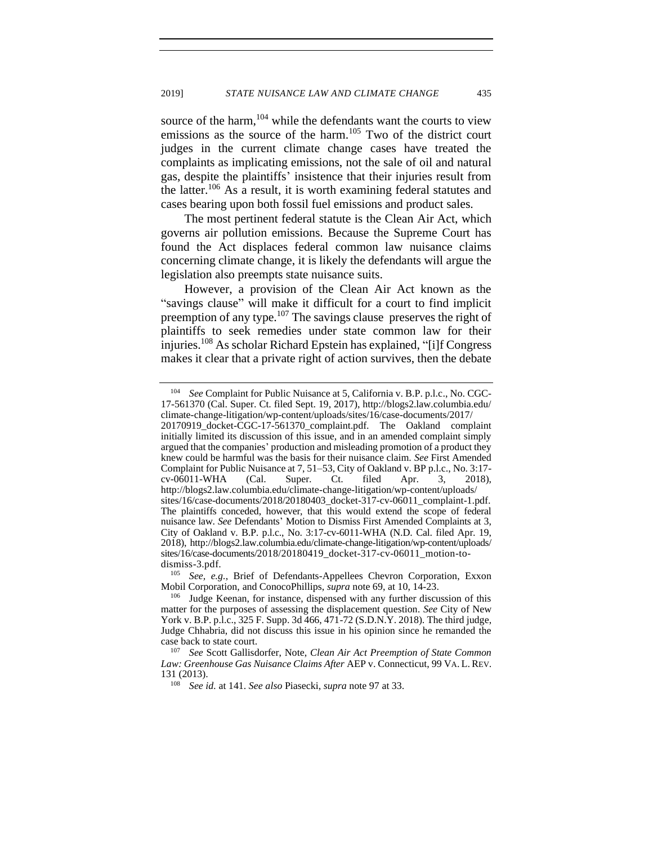source of the harm,  $104$  while the defendants want the courts to view emissions as the source of the harm.<sup>105</sup> Two of the district court judges in the current climate change cases have treated the complaints as implicating emissions, not the sale of oil and natural gas, despite the plaintiffs' insistence that their injuries result from the latter.<sup>106</sup> As a result, it is worth examining federal statutes and cases bearing upon both fossil fuel emissions and product sales.

The most pertinent federal statute is the Clean Air Act, which governs air pollution emissions. Because the Supreme Court has found the Act displaces federal common law nuisance claims concerning climate change, it is likely the defendants will argue the legislation also preempts state nuisance suits.

<span id="page-23-0"></span>However, a provision of the Clean Air Act known as the "savings clause" will make it difficult for a court to find implicit preemption of any type.<sup>107</sup> The savings clause preserves the right of plaintiffs to seek remedies under state common law for their injuries.<sup>108</sup> As scholar Richard Epstein has explained, "[i]f Congress makes it clear that a private right of action survives, then the debate

<sup>104</sup> *See* Complaint for Public Nuisance at 5, California v. B.P. p.l.c., No. CGC-17-561370 (Cal. Super. Ct. filed Sept. 19, 2017), http://blogs2.law.columbia.edu/ climate-change-litigation/wp-content/uploads/sites/16/case-documents/2017/

<sup>20170919</sup>\_docket-CGC-17-561370\_complaint.pdf. The Oakland complaint initially limited its discussion of this issue, and in an amended complaint simply argued that the companies' production and misleading promotion of a product they knew could be harmful was the basis for their nuisance claim. *See* First Amended Complaint for Public Nuisance at 7, 51–53, City of Oakland v. BP p.l.c., No. 3:17 cv-06011-WHA (Cal. Super. Ct. filed Apr. 3, 2018), http://blogs2.law.columbia.edu/climate-change-litigation/wp-content/uploads/ sites/16/case-documents/2018/20180403\_docket-317-cv-06011\_complaint-1.pdf. The plaintiffs conceded, however, that this would extend the scope of federal nuisance law. *See* Defendants' Motion to Dismiss First Amended Complaints at 3, City of Oakland v. B.P. p.l.c., No. 3:17-cv-6011-WHA (N.D. Cal. filed Apr. 19, 2018), http://blogs2.law.columbia.edu/climate-change-litigation/wp-content/uploads/ sites/16/case-documents/2018/20180419\_docket-317-cv-06011\_motion-todismiss-3.pdf.

<sup>105</sup> *See, e.g.*, Brief of Defendants-Appellees Chevron Corporation, Exxon Mobil Corporation, and ConocoPhillips, *supra* not[e 69,](#page-16-1) at 10, 14-23.

<sup>&</sup>lt;sup>106</sup> Judge Keenan, for instance, dispensed with any further discussion of this matter for the purposes of assessing the displacement question*. See* City of New York v. B.P. p.l.c., 325 F. Supp. 3d 466, 471-72 (S.D.N.Y. 2018). The third judge, Judge Chhabria, did not discuss this issue in his opinion since he remanded the case back to state court.

<sup>107</sup> *See* Scott Gallisdorfer, Note, *Clean Air Act Preemption of State Common Law: Greenhouse Gas Nuisance Claims After* AEP v. Connecticut, 99 VA. L. REV. 131 (2013).

<sup>108</sup> *See id.* at 141. *See also* Piasecki, *supra* note [97](#page-21-2) at 33.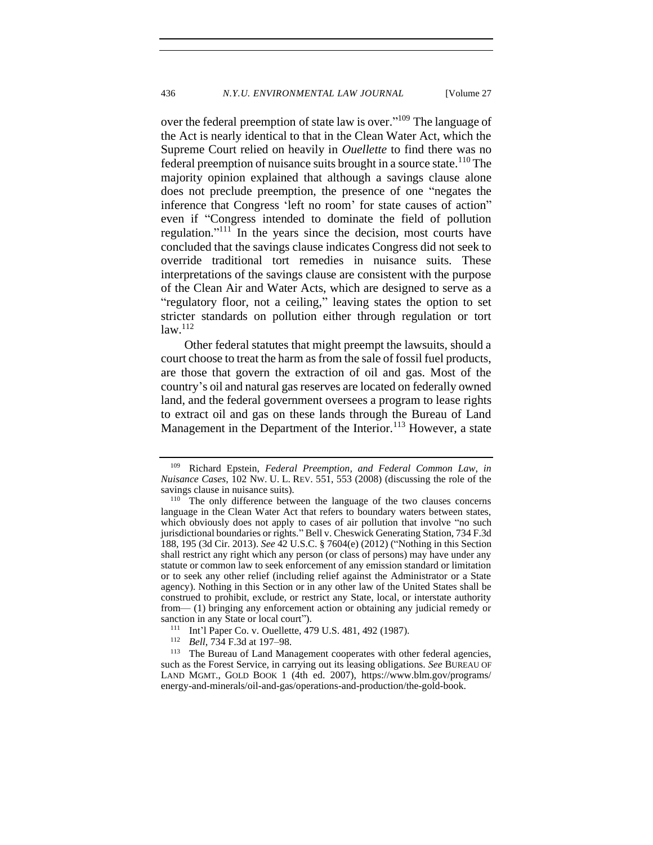over the federal preemption of state law is over."<sup>109</sup> The language of the Act is nearly identical to that in the Clean Water Act, which the Supreme Court relied on heavily in *Ouellette* to find there was no federal preemption of nuisance suits brought in a source state.<sup>110</sup> The majority opinion explained that although a savings clause alone does not preclude preemption, the presence of one "negates the inference that Congress 'left no room' for state causes of action" even if "Congress intended to dominate the field of pollution regulation."<sup>111</sup> In the years since the decision, most courts have concluded that the savings clause indicates Congress did not seek to override traditional tort remedies in nuisance suits. These interpretations of the savings clause are consistent with the purpose of the Clean Air and Water Acts, which are designed to serve as a "regulatory floor, not a ceiling," leaving states the option to set stricter standards on pollution either through regulation or tort  $law.<sup>112</sup>$ 

Other federal statutes that might preempt the lawsuits, should a court choose to treat the harm as from the sale of fossil fuel products, are those that govern the extraction of oil and gas. Most of the country's oil and natural gas reserves are located on federally owned land, and the federal government oversees a program to lease rights to extract oil and gas on these lands through the Bureau of Land Management in the Department of the Interior.<sup>113</sup> However, a state

<span id="page-24-0"></span><sup>109</sup> Richard Epstein, *Federal Preemption, and Federal Common Law, in Nuisance Cases*, 102 NW. U. L. REV. 551, 553 (2008) (discussing the role of the savings clause in nuisance suits).

<sup>&</sup>lt;sup>110</sup> The only difference between the language of the two clauses concerns language in the Clean Water Act that refers to boundary waters between states, which obviously does not apply to cases of air pollution that involve "no such jurisdictional boundaries or rights." Bell v. Cheswick Generating Station, 734 F.3d 188, 195 (3d Cir. 2013). *See* 42 U.S.C. § 7604(e) (2012) ("Nothing in this Section shall restrict any right which any person (or class of persons) may have under any statute or common law to seek enforcement of any emission standard or limitation or to seek any other relief (including relief against the Administrator or a State agency). Nothing in this Section or in any other law of the United States shall be construed to prohibit, exclude, or restrict any State, local, or interstate authority from— (1) bringing any enforcement action or obtaining any judicial remedy or sanction in any State or local court").

<sup>111</sup> Int'l Paper Co. v. Ouellette, 479 U.S. 481, 492 (1987).

<sup>&</sup>lt;sup>112</sup> *Bell*, 734 F.3d at 197–98.

The Bureau of Land Management cooperates with other federal agencies, such as the Forest Service, in carrying out its leasing obligations. *See* BUREAU OF LAND MGMT., GOLD BOOK 1 (4th ed. 2007), https://www.blm.gov/programs/ energy-and-minerals/oil-and-gas/operations-and-production/the-gold-book.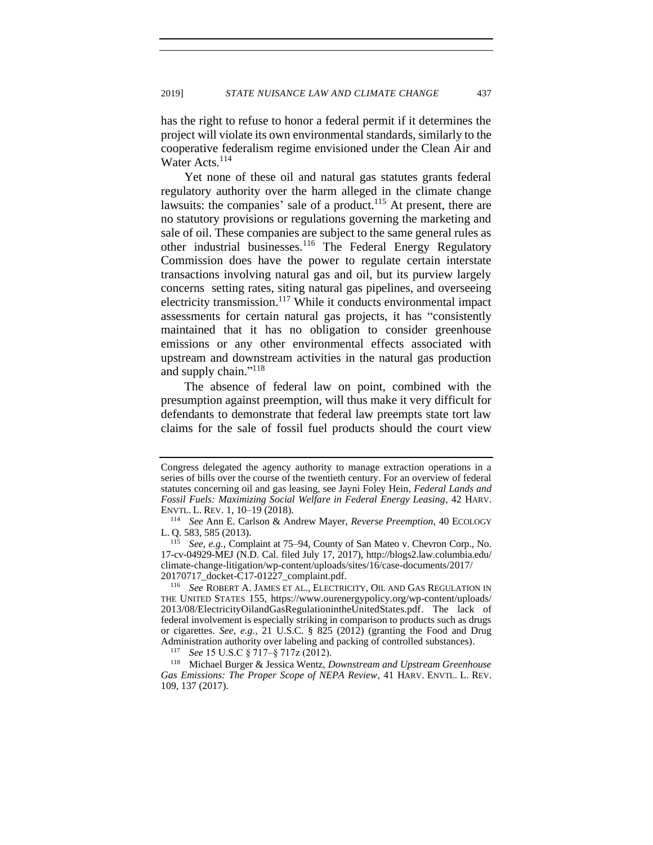has the right to refuse to honor a federal permit if it determines the project will violate its own environmental standards, similarly to the cooperative federalism regime envisioned under the Clean Air and Water Acts.<sup>114</sup>

Yet none of these oil and natural gas statutes grants federal regulatory authority over the harm alleged in the climate change lawsuits: the companies' sale of a product.<sup>115</sup> At present, there are no statutory provisions or regulations governing the marketing and sale of oil. These companies are subject to the same general rules as other industrial businesses.<sup>116</sup> The Federal Energy Regulatory Commission does have the power to regulate certain interstate transactions involving natural gas and oil, but its purview largely concerns setting rates, siting natural gas pipelines, and overseeing electricity transmission.<sup>117</sup> While it conducts environmental impact assessments for certain natural gas projects, it has "consistently maintained that it has no obligation to consider greenhouse emissions or any other environmental effects associated with upstream and downstream activities in the natural gas production and supply chain."<sup>118</sup>

The absence of federal law on point, combined with the presumption against preemption, will thus make it very difficult for defendants to demonstrate that federal law preempts state tort law claims for the sale of fossil fuel products should the court view

Congress delegated the agency authority to manage extraction operations in a series of bills over the course of the twentieth century. For an overview of federal statutes concerning oil and gas leasing, see Jayni Foley Hein, *Federal Lands and Fossil Fuels: Maximizing Social Welfare in Federal Energy Leasing*, 42 HARV. ENVTL. L. REV. 1, 10–19 (2018).

<sup>114</sup> *See* Ann E. Carlson & Andrew Mayer, *Reverse Preemption*, 40 ECOLOGY L. Q. 583, 585 (2013).

See, e.g., Complaint at 75–94, County of San Mateo v. Chevron Corp., No. 17-cv-04929-MEJ (N.D. Cal. filed July 17, 2017), http://blogs2.law.columbia.edu/ climate-change-litigation/wp-content/uploads/sites/16/case-documents/2017/ 20170717\_docket-C17-01227\_complaint.pdf.

<sup>116</sup> *See* ROBERT A. JAMES ET AL., ELECTRICITY, OIL AND GAS REGULATION IN THE UNITED STATES 155, https://www.ourenergypolicy.org/wp-content/uploads/ 2013/08/ElectricityOilandGasRegulationintheUnitedStates.pdf. The lack of federal involvement is especially striking in comparison to products such as drugs or cigarettes. *See, e.g.*, 21 U.S.C. § 825 (2012) (granting the Food and Drug Administration authority over labeling and packing of controlled substances).

<sup>117</sup> *See* 15 U.S.C § 717–§ 717z (2012).

<sup>118</sup> Michael Burger & Jessica Wentz, *Downstream and Upstream Greenhouse Gas Emissions: The Proper Scope of NEPA Review*, 41 HARV. ENVTL. L. REV. 109, 137 (2017).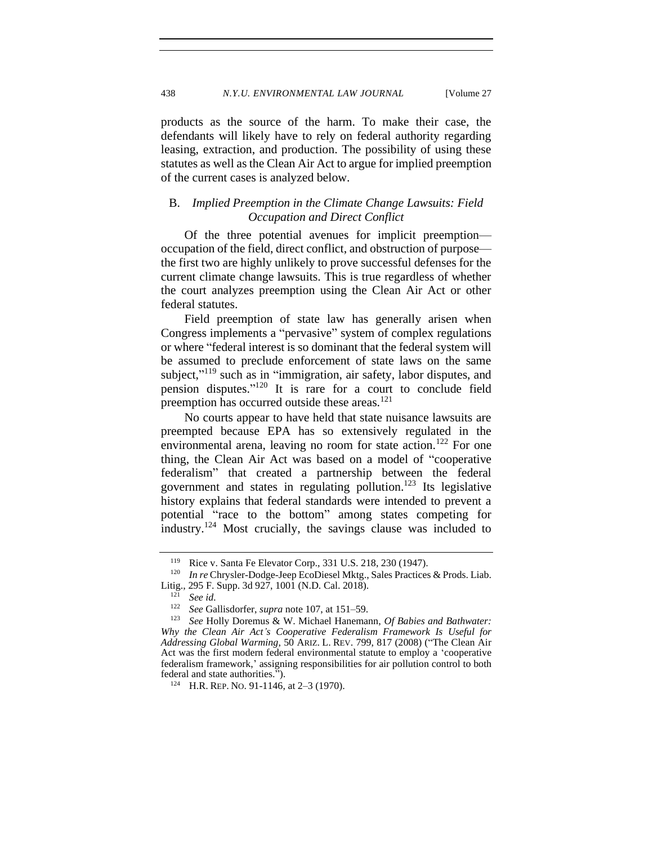products as the source of the harm. To make their case, the defendants will likely have to rely on federal authority regarding leasing, extraction, and production. The possibility of using these statutes as well as the Clean Air Act to argue for implied preemption of the current cases is analyzed below.

## <span id="page-26-0"></span>B. *Implied Preemption in the Climate Change Lawsuits: Field Occupation and Direct Conflict*

Of the three potential avenues for implicit preemption occupation of the field, direct conflict, and obstruction of purpose the first two are highly unlikely to prove successful defenses for the current climate change lawsuits. This is true regardless of whether the court analyzes preemption using the Clean Air Act or other federal statutes.

Field preemption of state law has generally arisen when Congress implements a "pervasive" system of complex regulations or where "federal interest is so dominant that the federal system will be assumed to preclude enforcement of state laws on the same subject,"<sup>119</sup> such as in "immigration, air safety, labor disputes, and pension disputes." <sup>120</sup> It is rare for a court to conclude field preemption has occurred outside these areas.<sup>121</sup>

No courts appear to have held that state nuisance lawsuits are preempted because EPA has so extensively regulated in the environmental arena, leaving no room for state action.<sup>122</sup> For one thing, the Clean Air Act was based on a model of "cooperative federalism" that created a partnership between the federal government and states in regulating pollution.<sup>123</sup> Its legislative history explains that federal standards were intended to prevent a potential "race to the bottom" among states competing for industry.<sup>124</sup> Most crucially, the savings clause was included to

<sup>&</sup>lt;sup>119</sup> Rice v. Santa Fe Elevator Corp., 331 U.S. 218, 230 (1947).<br><sup>120</sup> In an Churcles Dodge Jean EqoDippel Mirts, Sales Prestiges

*In re* Chrysler-Dodge-Jeep EcoDiesel Mktg., Sales Practices & Prods. Liab. Litig., 295 F. Supp. 3d 927, 1001 (N.D. Cal. 2018).

<sup>&</sup>lt;sup>121</sup> *See id.*<br><sup>122</sup> *See Ga* 

See Gallisdorfer, *supra* not[e 107,](#page-23-0) at 151–59.

<sup>123</sup> *See* Holly Doremus & W. Michael Hanemann, *Of Babies and Bathwater: Why the Clean Air Act's Cooperative Federalism Framework Is Useful for Addressing Global Warming*, 50 ARIZ. L. REV. 799, 817 (2008) ("The Clean Air Act was the first modern federal environmental statute to employ a 'cooperative federalism framework,' assigning responsibilities for air pollution control to both federal and state authorities.").

<sup>124</sup> H.R. REP. NO. 91-1146, at 2–3 (1970).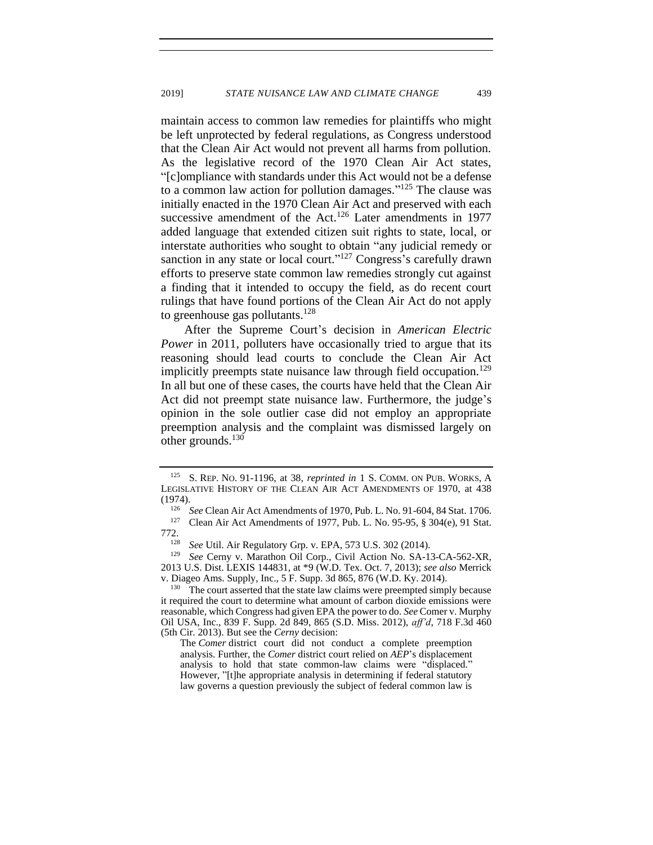maintain access to common law remedies for plaintiffs who might be left unprotected by federal regulations, as Congress understood that the Clean Air Act would not prevent all harms from pollution. As the legislative record of the 1970 Clean Air Act states, "[c]ompliance with standards under this Act would not be a defense to a common law action for pollution damages."<sup>125</sup> The clause was initially enacted in the 1970 Clean Air Act and preserved with each successive amendment of the Act.<sup>126</sup> Later amendments in 1977 added language that extended citizen suit rights to state, local, or interstate authorities who sought to obtain "any judicial remedy or sanction in any state or local court." $127$  Congress's carefully drawn efforts to preserve state common law remedies strongly cut against a finding that it intended to occupy the field, as do recent court rulings that have found portions of the Clean Air Act do not apply to greenhouse gas pollutants.<sup>128</sup>

After the Supreme Court's decision in *American Electric Power* in 2011, polluters have occasionally tried to argue that its reasoning should lead courts to conclude the Clean Air Act implicitly preempts state nuisance law through field occupation.<sup>129</sup> In all but one of these cases, the courts have held that the Clean Air Act did not preempt state nuisance law. Furthermore, the judge's opinion in the sole outlier case did not employ an appropriate preemption analysis and the complaint was dismissed largely on other grounds. $130$ 

<sup>128</sup> *See* Util. Air Regulatory Grp. v. EPA, 573 U.S. 302 (2014).

<sup>129</sup> *See* Cerny v. Marathon Oil Corp., Civil Action No. SA-13-CA-562-XR, 2013 U.S. Dist. LEXIS 144831, at \*9 (W.D. Tex. Oct. 7, 2013); *see also* Merrick v. Diageo Ams. Supply, Inc., 5 F. Supp. 3d 865, 876 (W.D. Ky. 2014).

 $130$  The court asserted that the state law claims were preempted simply because it required the court to determine what amount of carbon dioxide emissions were reasonable, which Congress had given EPA the power to do. *See* Comer v. Murphy Oil USA, Inc., 839 F. Supp. 2d 849, 865 (S.D. Miss. 2012), *aff'd*, 718 F.3d 460 (5th Cir. 2013). But see the *Cerny* decision:

The *Comer* district court did not conduct a complete preemption analysis. Further, the *Comer* district court relied on *AEP*'s displacement analysis to hold that state common-law claims were "displaced." However, "[t]he appropriate analysis in determining if federal statutory law governs a question previously the subject of federal common law is

<sup>125</sup> S. REP. NO. 91-1196, at 38, *reprinted in* 1 S. COMM. ON PUB. WORKS, A LEGISLATIVE HISTORY OF THE CLEAN AIR ACT AMENDMENTS OF 1970, at 438 (1974).

<sup>&</sup>lt;sup>126</sup> *See* Clean Air Act Amendments of 1970, Pub. L. No. 91-604, 84 Stat. 1706.<br><sup>127</sup> Clean Air Act Amendments of 1977 Pub. J. No. 95-95, 8, 304(e), 91 Stat.

Clean Air Act Amendments of 1977, Pub. L. No. 95-95, § 304(e), 91 Stat. 772.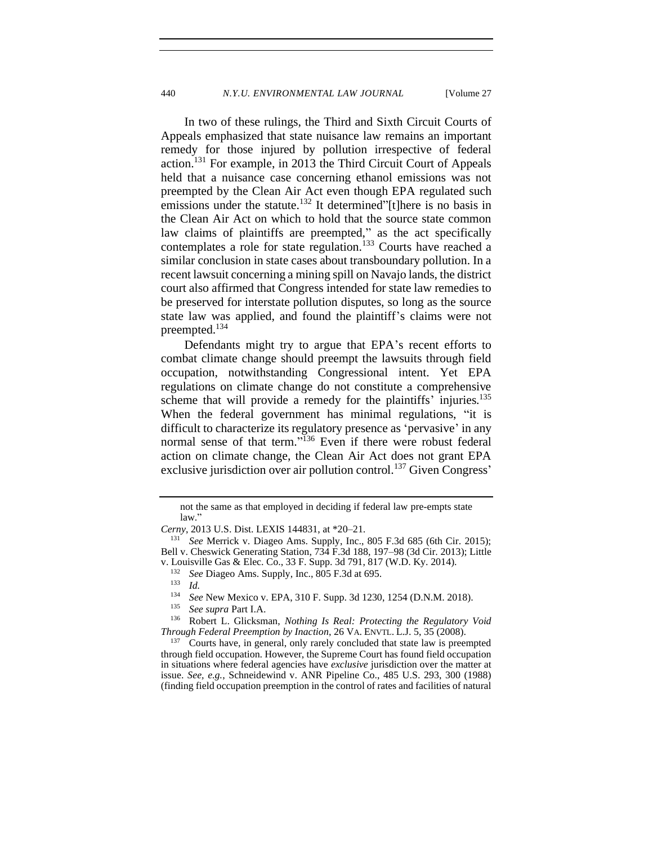In two of these rulings, the Third and Sixth Circuit Courts of Appeals emphasized that state nuisance law remains an important remedy for those injured by pollution irrespective of federal action.<sup>131</sup> For example, in 2013 the Third Circuit Court of Appeals held that a nuisance case concerning ethanol emissions was not preempted by the Clean Air Act even though EPA regulated such emissions under the statute.<sup>132</sup> It determined"[t]here is no basis in the Clean Air Act on which to hold that the source state common law claims of plaintiffs are preempted," as the act specifically contemplates a role for state regulation.<sup>133</sup> Courts have reached a similar conclusion in state cases about transboundary pollution. In a recent lawsuit concerning a mining spill on Navajo lands, the district court also affirmed that Congress intended for state law remedies to be preserved for interstate pollution disputes, so long as the source state law was applied, and found the plaintiff's claims were not preempted.<sup>134</sup>

Defendants might try to argue that EPA's recent efforts to combat climate change should preempt the lawsuits through field occupation, notwithstanding Congressional intent. Yet EPA regulations on climate change do not constitute a comprehensive scheme that will provide a remedy for the plaintiffs' injuries.<sup>135</sup> When the federal government has minimal regulations, "it is difficult to characterize its regulatory presence as 'pervasive' in any normal sense of that term."<sup>136</sup> Even if there were robust federal action on climate change, the Clean Air Act does not grant EPA exclusive jurisdiction over air pollution control.<sup>137</sup> Given Congress'

not the same as that employed in deciding if federal law pre-empts state law."

*Cerny*, 2013 U.S. Dist. LEXIS 144831, at \*20–21.

<sup>131</sup> *See* Merrick v. Diageo Ams. Supply, Inc., 805 F.3d 685 (6th Cir. 2015); Bell v. Cheswick Generating Station, 734 F.3d 188, 197–98 (3d Cir. 2013); Little v. Louisville Gas & Elec. Co., 33 F. Supp. 3d 791, 817 (W.D. Ky. 2014).

<sup>&</sup>lt;sup>132</sup> *See* Diageo Ams. Supply, Inc., 805 F.3d at 695.

 $\frac{133}{134}$  *Id.* 

<sup>&</sup>lt;sup>134</sup> *See* New Mexico v. EPA, 310 F. Supp. 3d 1230, 1254 (D.N.M. 2018).<br><sup>135</sup> See supre Part I A

<sup>135</sup> *See supra* Part I.A.

<sup>136</sup> Robert L. Glicksman, *Nothing Is Real: Protecting the Regulatory Void Through Federal Preemption by Inaction*, 26 VA. ENVTL. L.J. 5, 35 (2008).

Courts have, in general, only rarely concluded that state law is preempted through field occupation. However, the Supreme Court has found field occupation in situations where federal agencies have *exclusive* jurisdiction over the matter at issue. *See, e.g.*, Schneidewind v. ANR Pipeline Co., 485 U.S. 293, 300 (1988) (finding field occupation preemption in the control of rates and facilities of natural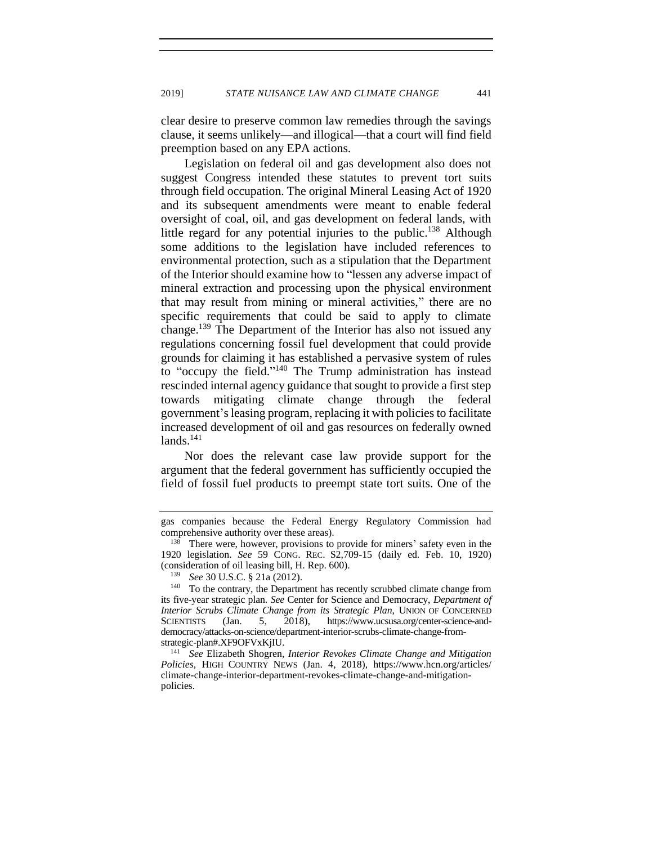clear desire to preserve common law remedies through the savings clause, it seems unlikely—and illogical—that a court will find field preemption based on any EPA actions.

Legislation on federal oil and gas development also does not suggest Congress intended these statutes to prevent tort suits through field occupation. The original Mineral Leasing Act of 1920 and its subsequent amendments were meant to enable federal oversight of coal, oil, and gas development on federal lands, with little regard for any potential injuries to the public.<sup>138</sup> Although some additions to the legislation have included references to environmental protection, such as a stipulation that the Department of the Interior should examine how to "lessen any adverse impact of mineral extraction and processing upon the physical environment that may result from mining or mineral activities," there are no specific requirements that could be said to apply to climate change.<sup>139</sup> The Department of the Interior has also not issued any regulations concerning fossil fuel development that could provide grounds for claiming it has established a pervasive system of rules to "occupy the field." <sup>140</sup> The Trump administration has instead rescinded internal agency guidance that sought to provide a first step towards mitigating climate change through the federal government's leasing program, replacing it with policies to facilitate increased development of oil and gas resources on federally owned  $lands.<sup>141</sup>$ 

Nor does the relevant case law provide support for the argument that the federal government has sufficiently occupied the field of fossil fuel products to preempt state tort suits. One of the

gas companies because the Federal Energy Regulatory Commission had comprehensive authority over these areas).

<sup>&</sup>lt;sup>138</sup> There were, however, provisions to provide for miners' safety even in the 1920 legislation. *See* 59 CONG. REC. S2,709-15 (daily ed. Feb. 10, 1920) (consideration of oil leasing bill, H. Rep. 600).

<sup>139</sup> *See* 30 U.S.C. § 21a (2012).

<sup>&</sup>lt;sup>140</sup> To the contrary, the Department has recently scrubbed climate change from its five-year strategic plan. *See* Center for Science and Democracy, *Department of Interior Scrubs Climate Change from its Strategic Plan*, UNION OF CONCERNED SCIENTISTS (Jan. 5, 2018), https://www.ucsusa.org/center-science-anddemocracy/attacks-on-science/department-interior-scrubs-climate-change-fromstrategic-plan#.XF9OFVxKjIU.

<sup>141</sup> *See* Elizabeth Shogren, *Interior Revokes Climate Change and Mitigation Policies*, HIGH COUNTRY NEWS (Jan. 4, 2018), https://www.hcn.org/articles/ climate-change-interior-department-revokes-climate-change-and-mitigationpolicies.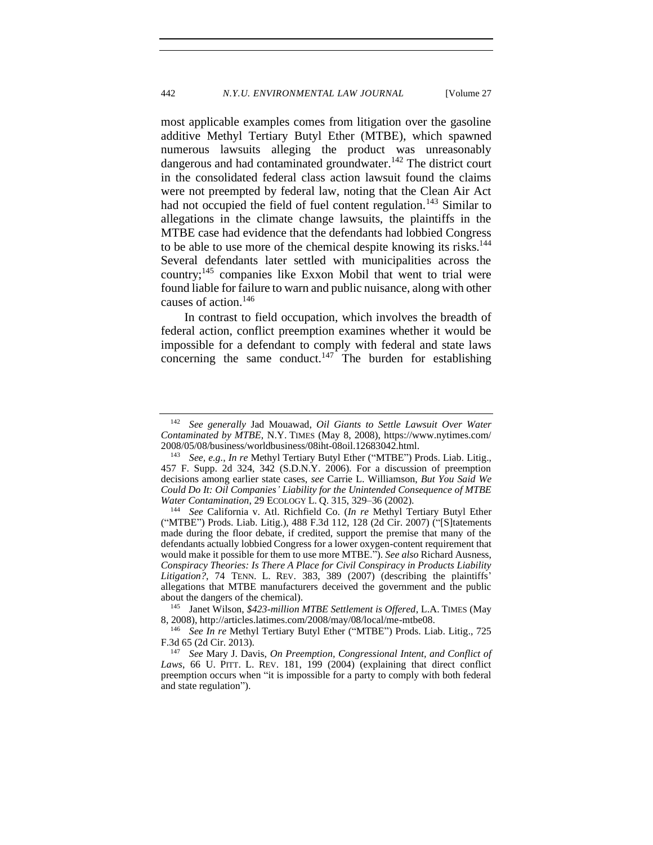most applicable examples comes from litigation over the gasoline additive Methyl Tertiary Butyl Ether (MTBE), which spawned numerous lawsuits alleging the product was unreasonably dangerous and had contaminated groundwater.<sup>142</sup> The district court in the consolidated federal class action lawsuit found the claims were not preempted by federal law, noting that the Clean Air Act had not occupied the field of fuel content regulation.<sup>143</sup> Similar to allegations in the climate change lawsuits, the plaintiffs in the MTBE case had evidence that the defendants had lobbied Congress to be able to use more of the chemical despite knowing its risks.<sup>144</sup> Several defendants later settled with municipalities across the country;<sup>145</sup> companies like Exxon Mobil that went to trial were found liable for failure to warn and public nuisance, along with other causes of action.<sup>146</sup>

In contrast to field occupation, which involves the breadth of federal action, conflict preemption examines whether it would be impossible for a defendant to comply with federal and state laws concerning the same conduct.<sup>147</sup> The burden for establishing

<sup>142</sup> *See generally* Jad Mouawad, *Oil Giants to Settle Lawsuit Over Water Contaminated by MTBE*, N.Y. TIMES (May 8, 2008), https://www.nytimes.com/ 2008/05/08/business/worldbusiness/08iht-08oil.12683042.html.

<sup>143</sup> *See, e.g.*, *In re* Methyl Tertiary Butyl Ether ("MTBE") Prods. Liab. Litig., 457 F. Supp. 2d 324, 342 (S.D.N.Y. 2006). For a discussion of preemption decisions among earlier state cases, *see* Carrie L. Williamson, *But You Said We Could Do It: Oil Companies' Liability for the Unintended Consequence of MTBE Water Contamination*, 29 ECOLOGY L. Q. 315, 329–36 (2002).

<sup>144</sup> *See* California v. Atl. Richfield Co. (*In re* Methyl Tertiary Butyl Ether ("MTBE") Prods. Liab. Litig.), 488 F.3d 112, 128 (2d Cir. 2007) ("[S]tatements made during the floor debate, if credited, support the premise that many of the defendants actually lobbied Congress for a lower oxygen-content requirement that would make it possible for them to use more MTBE."). *See also* Richard Ausness, *Conspiracy Theories: Is There A Place for Civil Conspiracy in Products Liability Litigation?*, 74 TENN. L. REV. 383, 389 (2007) (describing the plaintiffs' allegations that MTBE manufacturers deceived the government and the public about the dangers of the chemical).

<sup>145</sup> Janet Wilson, *\$423-million MTBE Settlement is Offered*, L.A. TIMES (May 8, 2008), http://articles.latimes.com/2008/may/08/local/me-mtbe08.

<sup>146</sup> *See In re* Methyl Tertiary Butyl Ether ("MTBE") Prods. Liab. Litig., 725 F.3d 65 (2d Cir. 2013).

<sup>147</sup> *See* Mary J. Davis, *On Preemption, Congressional Intent, and Conflict of Laws*, 66 U. PITT. L. REV. 181, 199 (2004) (explaining that direct conflict preemption occurs when "it is impossible for a party to comply with both federal and state regulation").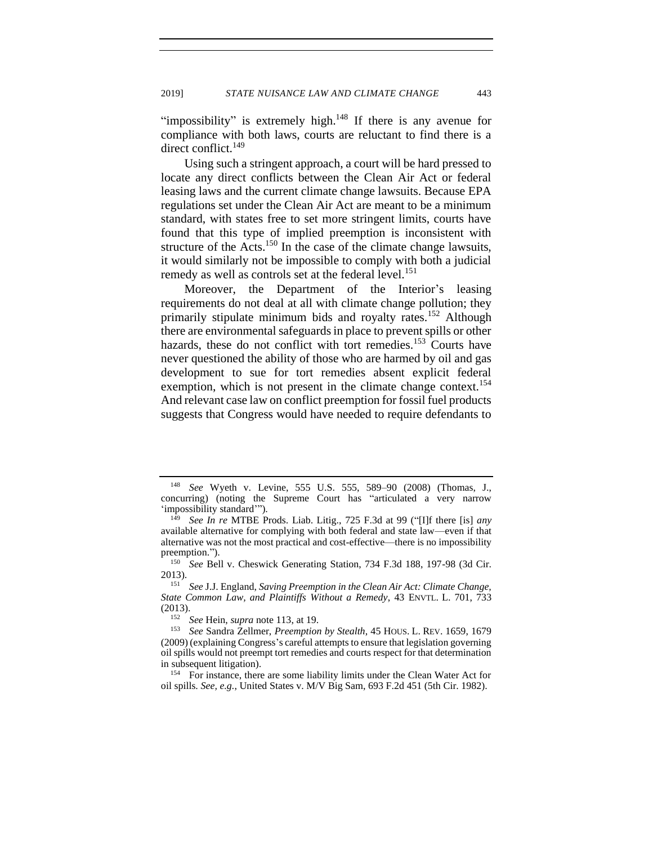"impossibility" is extremely high. $148$  If there is any avenue for compliance with both laws, courts are reluctant to find there is a direct conflict.<sup>149</sup>

Using such a stringent approach, a court will be hard pressed to locate any direct conflicts between the Clean Air Act or federal leasing laws and the current climate change lawsuits. Because EPA regulations set under the Clean Air Act are meant to be a minimum standard, with states free to set more stringent limits, courts have found that this type of implied preemption is inconsistent with structure of the Acts.<sup>150</sup> In the case of the climate change lawsuits, it would similarly not be impossible to comply with both a judicial remedy as well as controls set at the federal level.<sup>151</sup>

Moreover, the Department of the Interior's leasing requirements do not deal at all with climate change pollution; they primarily stipulate minimum bids and royalty rates.<sup>152</sup> Although there are environmental safeguards in place to prevent spills or other hazards, these do not conflict with tort remedies.<sup>153</sup> Courts have never questioned the ability of those who are harmed by oil and gas development to sue for tort remedies absent explicit federal exemption, which is not present in the climate change context.<sup>154</sup> And relevant case law on conflict preemption for fossil fuel products suggests that Congress would have needed to require defendants to

<sup>148</sup> *See* Wyeth v. Levine, 555 U.S. 555, 589–90 (2008) (Thomas, J., concurring) (noting the Supreme Court has "articulated a very narrow 'impossibility standard'").

<sup>149</sup> *See In re* MTBE Prods. Liab. Litig., 725 F.3d at 99 ("[I]f there [is] *any* available alternative for complying with both federal and state law—even if that alternative was not the most practical and cost-effective—there is no impossibility preemption.").

<sup>&</sup>lt;sup>150</sup> *See* Bell v. Cheswick Generating Station, 734 F.3d 188, 197-98 (3d Cir. 2013).

<sup>151</sup> *See* J.J. England, *Saving Preemption in the Clean Air Act: Climate Change, State Common Law, and Plaintiffs Without a Remedy*, 43 ENVTL. L. 701, 733 (2013).

<sup>152</sup> *See* Hein, *supra* note [113,](#page-24-0) at 19.

<sup>153</sup> *See* Sandra Zellmer, *Preemption by Stealth*, 45 HOUS. L. REV. 1659, 1679 (2009) (explaining Congress's careful attempts to ensure that legislation governing oil spills would not preempt tort remedies and courts respect for that determination in subsequent litigation).

<sup>&</sup>lt;sup>154</sup> For instance, there are some liability limits under the Clean Water Act for oil spills. *See, e.g.*, United States v. M/V Big Sam, 693 F.2d 451 (5th Cir. 1982).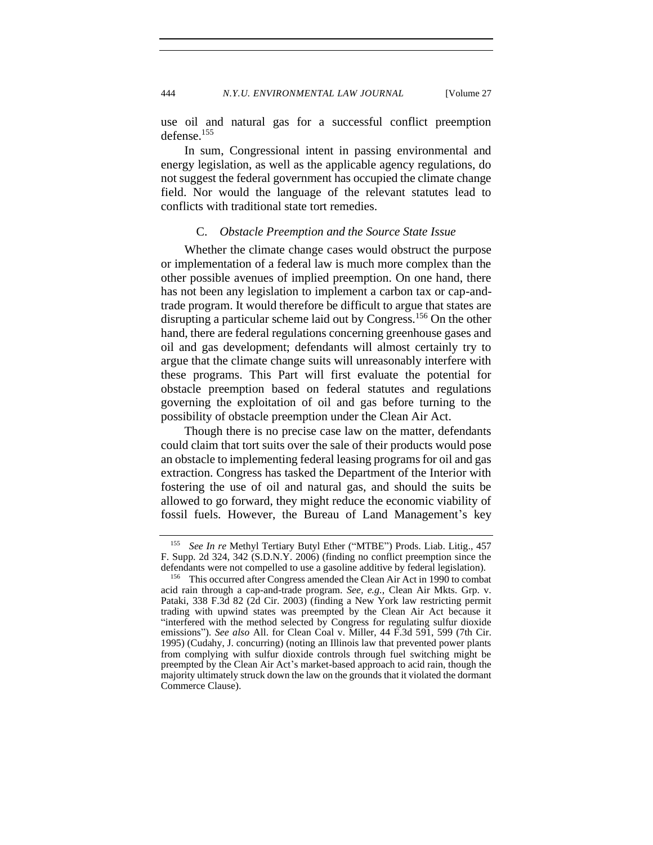use oil and natural gas for a successful conflict preemption defense.<sup>155</sup>

In sum, Congressional intent in passing environmental and energy legislation, as well as the applicable agency regulations, do not suggest the federal government has occupied the climate change field. Nor would the language of the relevant statutes lead to conflicts with traditional state tort remedies.

## C. *Obstacle Preemption and the Source State Issue*

<span id="page-32-0"></span>Whether the climate change cases would obstruct the purpose or implementation of a federal law is much more complex than the other possible avenues of implied preemption. On one hand, there has not been any legislation to implement a carbon tax or cap-andtrade program. It would therefore be difficult to argue that states are disrupting a particular scheme laid out by Congress.<sup>156</sup> On the other hand, there are federal regulations concerning greenhouse gases and oil and gas development; defendants will almost certainly try to argue that the climate change suits will unreasonably interfere with these programs. This Part will first evaluate the potential for obstacle preemption based on federal statutes and regulations governing the exploitation of oil and gas before turning to the possibility of obstacle preemption under the Clean Air Act.

Though there is no precise case law on the matter, defendants could claim that tort suits over the sale of their products would pose an obstacle to implementing federal leasing programs for oil and gas extraction. Congress has tasked the Department of the Interior with fostering the use of oil and natural gas, and should the suits be allowed to go forward, they might reduce the economic viability of fossil fuels. However, the Bureau of Land Management's key

<sup>155</sup> *See In re* Methyl Tertiary Butyl Ether ("MTBE") Prods. Liab. Litig., 457 F. Supp. 2d 324, 342 (S.D.N.Y. 2006) (finding no conflict preemption since the defendants were not compelled to use a gasoline additive by federal legislation).

<sup>&</sup>lt;sup>156</sup> This occurred after Congress amended the Clean Air Act in 1990 to combat acid rain through a cap-and-trade program. *See, e.g.*, Clean Air Mkts. Grp. v. Pataki, 338 F.3d 82 (2d Cir. 2003) (finding a New York law restricting permit trading with upwind states was preempted by the Clean Air Act because it "interfered with the method selected by Congress for regulating sulfur dioxide emissions"). *See also* All. for Clean Coal v. Miller, 44 F.3d 591, 599 (7th Cir. 1995) (Cudahy, J. concurring) (noting an Illinois law that prevented power plants from complying with sulfur dioxide controls through fuel switching might be preempted by the Clean Air Act's market-based approach to acid rain, though the majority ultimately struck down the law on the grounds that it violated the dormant Commerce Clause).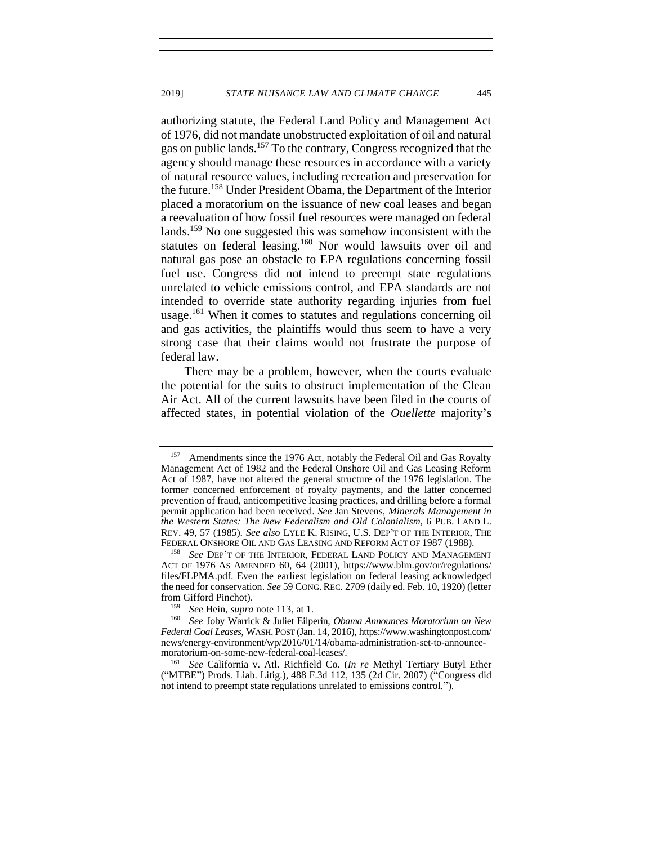authorizing statute, the Federal Land Policy and Management Act of 1976, did not mandate unobstructed exploitation of oil and natural gas on public lands.<sup>157</sup> To the contrary, Congress recognized that the agency should manage these resources in accordance with a variety of natural resource values, including recreation and preservation for the future.<sup>158</sup> Under President Obama, the Department of the Interior placed a moratorium on the issuance of new coal leases and began a reevaluation of how fossil fuel resources were managed on federal lands.<sup>159</sup> No one suggested this was somehow inconsistent with the statutes on federal leasing.<sup>160</sup> Nor would lawsuits over oil and natural gas pose an obstacle to EPA regulations concerning fossil fuel use. Congress did not intend to preempt state regulations unrelated to vehicle emissions control, and EPA standards are not intended to override state authority regarding injuries from fuel usage.<sup>161</sup> When it comes to statutes and regulations concerning oil and gas activities, the plaintiffs would thus seem to have a very strong case that their claims would not frustrate the purpose of federal law.

There may be a problem, however, when the courts evaluate the potential for the suits to obstruct implementation of the Clean Air Act. All of the current lawsuits have been filed in the courts of affected states, in potential violation of the *Ouellette* majority's

<sup>161</sup> *See* California v. Atl. Richfield Co. (*In re* Methyl Tertiary Butyl Ether ("MTBE") Prods. Liab. Litig.), 488 F.3d 112, 135 (2d Cir. 2007) ("Congress did not intend to preempt state regulations unrelated to emissions control.").

<sup>&</sup>lt;sup>157</sup> Amendments since the 1976 Act, notably the Federal Oil and Gas Royalty Management Act of 1982 and the Federal Onshore Oil and Gas Leasing Reform Act of 1987, have not altered the general structure of the 1976 legislation. The former concerned enforcement of royalty payments, and the latter concerned prevention of fraud, anticompetitive leasing practices, and drilling before a formal permit application had been received. *See* Jan Stevens, *Minerals Management in the Western States: The New Federalism and Old Colonialism*, 6 PUB. LAND L. REV. 49, 57 (1985). *See also* LYLE K. RISING, U.S. DEP'T OF THE INTERIOR, THE FEDERAL ONSHORE OIL AND GAS LEASING AND REFORM ACT OF 1987 (1988).

<sup>158</sup> *See* DEP'T OF THE INTERIOR, FEDERAL LAND POLICY AND MANAGEMENT ACT OF 1976 AS AMENDED 60, 64 (2001), https://www.blm.gov/or/regulations/ files/FLPMA.pdf. Even the earliest legislation on federal leasing acknowledged the need for conservation. *See* 59 CONG.REC. 2709 (daily ed. Feb. 10, 1920) (letter from Gifford Pinchot).

<sup>159</sup> *See* Hein, *supra* note [113,](#page-24-0) at 1.

<sup>160</sup> *See* Joby Warrick & Juliet Eilperin, *Obama Announces Moratorium on New Federal Coal Leases*, WASH. POST (Jan. 14, 2016), https://www.washingtonpost.com/ news/energy-environment/wp/2016/01/14/obama-administration-set-to-announcemoratorium-on-some-new-federal-coal-leases/.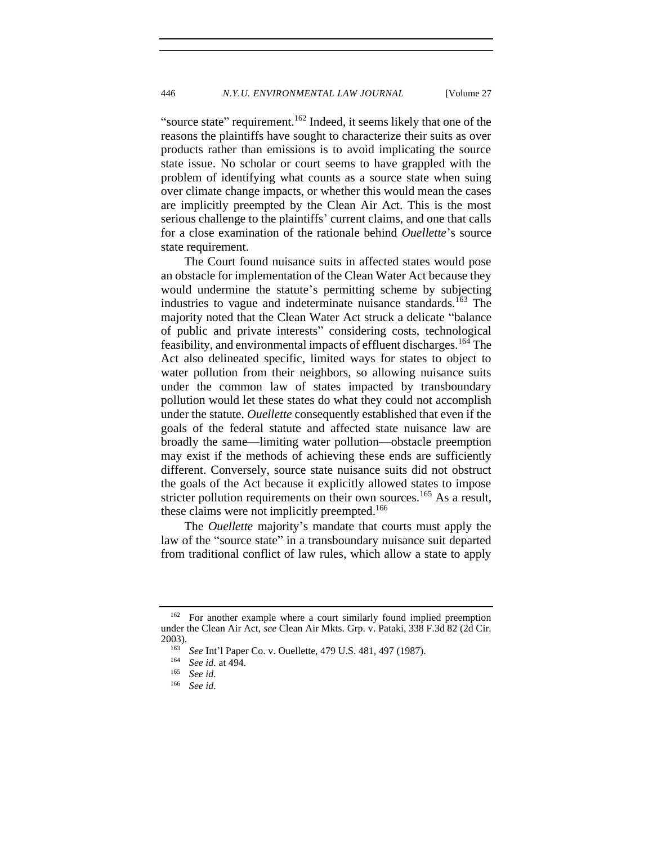"source state" requirement.<sup>162</sup> Indeed, it seems likely that one of the reasons the plaintiffs have sought to characterize their suits as over products rather than emissions is to avoid implicating the source state issue. No scholar or court seems to have grappled with the problem of identifying what counts as a source state when suing over climate change impacts, or whether this would mean the cases are implicitly preempted by the Clean Air Act. This is the most serious challenge to the plaintiffs' current claims, and one that calls for a close examination of the rationale behind *Ouellette*'s source state requirement.

The Court found nuisance suits in affected states would pose an obstacle for implementation of the Clean Water Act because they would undermine the statute's permitting scheme by subjecting industries to vague and indeterminate nuisance standards.<sup>163</sup> The majority noted that the Clean Water Act struck a delicate "balance of public and private interests" considering costs, technological feasibility, and environmental impacts of effluent discharges.<sup>164</sup> The Act also delineated specific, limited ways for states to object to water pollution from their neighbors, so allowing nuisance suits under the common law of states impacted by transboundary pollution would let these states do what they could not accomplish under the statute. *Ouellette* consequently established that even if the goals of the federal statute and affected state nuisance law are broadly the same—limiting water pollution—obstacle preemption may exist if the methods of achieving these ends are sufficiently different. Conversely, source state nuisance suits did not obstruct the goals of the Act because it explicitly allowed states to impose stricter pollution requirements on their own sources.<sup>165</sup> As a result, these claims were not implicitly preempted.<sup>166</sup>

The *Ouellette* majority's mandate that courts must apply the law of the "source state" in a transboundary nuisance suit departed from traditional conflict of law rules, which allow a state to apply

<sup>&</sup>lt;sup>162</sup> For another example where a court similarly found implied preemption under the Clean Air Act, *see* Clean Air Mkts. Grp. v. Pataki, 338 F.3d 82 (2d Cir.  $2003$ ).

<sup>&</sup>lt;sup>163</sup> *See* Int'l Paper Co. v. Ouellette, 479 U.S. 481, 497 (1987).

 $\frac{164}{165}$  *See id.* at 494.

<sup>165</sup> *See id.*

See *id.*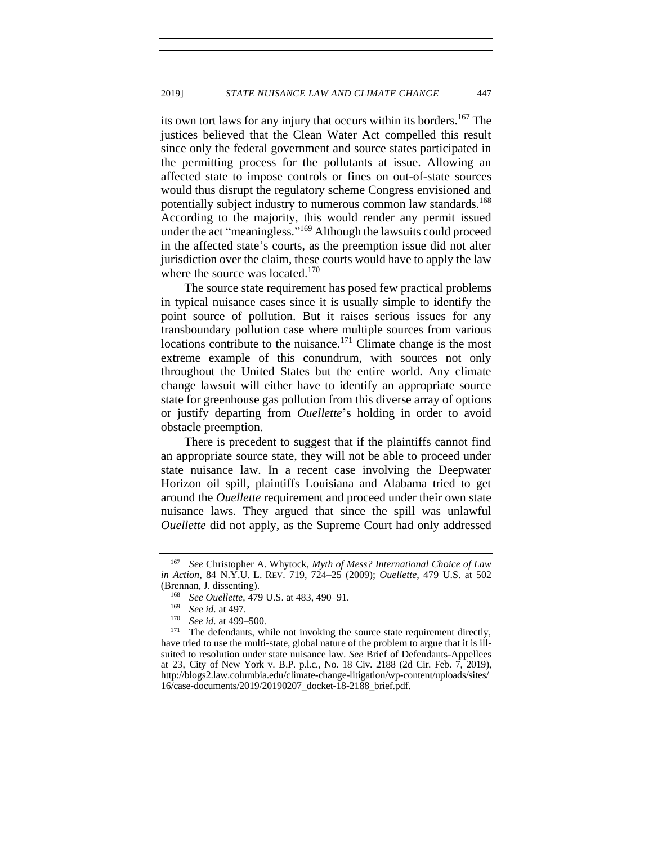its own tort laws for any injury that occurs within its borders.<sup>167</sup> The justices believed that the Clean Water Act compelled this result since only the federal government and source states participated in the permitting process for the pollutants at issue. Allowing an affected state to impose controls or fines on out-of-state sources would thus disrupt the regulatory scheme Congress envisioned and potentially subject industry to numerous common law standards.<sup>168</sup> According to the majority, this would render any permit issued under the act "meaningless."<sup>169</sup> Although the lawsuits could proceed in the affected state's courts, as the preemption issue did not alter jurisdiction over the claim, these courts would have to apply the law where the source was located. $170$ 

The source state requirement has posed few practical problems in typical nuisance cases since it is usually simple to identify the point source of pollution. But it raises serious issues for any transboundary pollution case where multiple sources from various locations contribute to the nuisance.<sup>171</sup> Climate change is the most extreme example of this conundrum, with sources not only throughout the United States but the entire world. Any climate change lawsuit will either have to identify an appropriate source state for greenhouse gas pollution from this diverse array of options or justify departing from *Ouellette*'s holding in order to avoid obstacle preemption.

There is precedent to suggest that if the plaintiffs cannot find an appropriate source state, they will not be able to proceed under state nuisance law. In a recent case involving the Deepwater Horizon oil spill, plaintiffs Louisiana and Alabama tried to get around the *Ouellette* requirement and proceed under their own state nuisance laws. They argued that since the spill was unlawful *Ouellette* did not apply, as the Supreme Court had only addressed

<sup>167</sup> *See* Christopher A. Whytock, *Myth of Mess? International Choice of Law in Action*, 84 N.Y.U. L. REV. 719, 724–25 (2009); *Ouellette*, 479 U.S. at 502 (Brennan, J. dissenting).

<sup>&</sup>lt;sup>168</sup> *See Ouellette*, 479 U.S. at 483, 490–91.

<sup>169</sup> *See id.* at 497.

See id. at 499–500.

 $171$  The defendants, while not invoking the source state requirement directly, have tried to use the multi-state, global nature of the problem to argue that it is illsuited to resolution under state nuisance law. *See* Brief of Defendants-Appellees at 23, City of New York v. B.P. p.l.c., No. 18 Civ. 2188 (2d Cir. Feb. 7, 2019), [http://blogs2.law.columbia.edu/climate-change-litigation/wp-content/uploads/sites/](http://blogs2.law.columbia.edu/climate-change-litigation/wp-content/uploads/sites/16/case-documents/2019/20190207_docket-18-2188_brief.pdf) [16/case-documents/2019/20190207\\_docket-18-2188\\_brief.pdf.](http://blogs2.law.columbia.edu/climate-change-litigation/wp-content/uploads/sites/16/case-documents/2019/20190207_docket-18-2188_brief.pdf)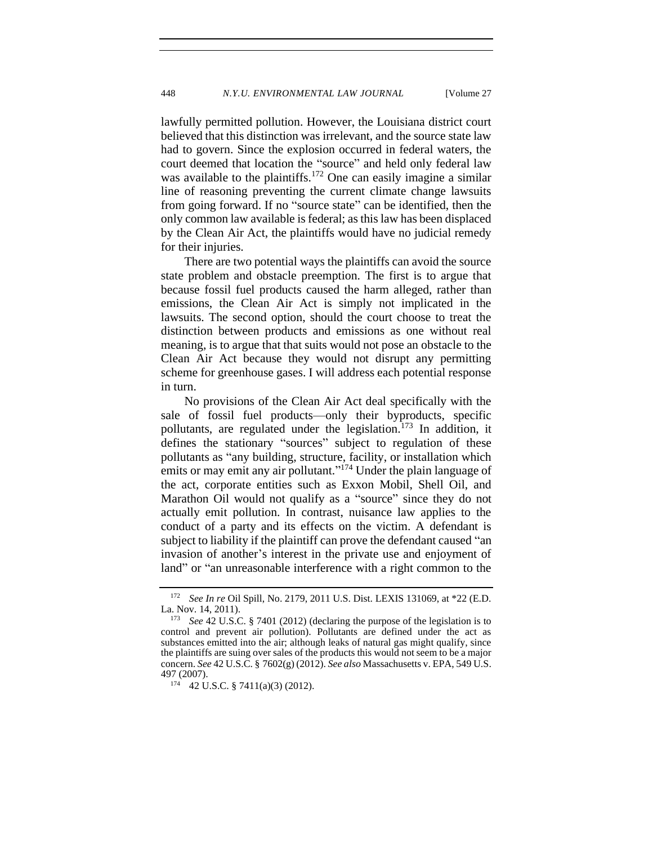lawfully permitted pollution. However, the Louisiana district court believed that this distinction was irrelevant, and the source state law had to govern. Since the explosion occurred in federal waters, the court deemed that location the "source" and held only federal law was available to the plaintiffs.<sup>172</sup> One can easily imagine a similar line of reasoning preventing the current climate change lawsuits from going forward. If no "source state" can be identified, then the only common law available is federal; as this law has been displaced by the Clean Air Act, the plaintiffs would have no judicial remedy for their injuries.

There are two potential ways the plaintiffs can avoid the source state problem and obstacle preemption. The first is to argue that because fossil fuel products caused the harm alleged, rather than emissions, the Clean Air Act is simply not implicated in the lawsuits. The second option, should the court choose to treat the distinction between products and emissions as one without real meaning, is to argue that that suits would not pose an obstacle to the Clean Air Act because they would not disrupt any permitting scheme for greenhouse gases. I will address each potential response in turn.

No provisions of the Clean Air Act deal specifically with the sale of fossil fuel products—only their byproducts, specific pollutants, are regulated under the legislation.<sup>173</sup> In addition, it defines the stationary "sources" subject to regulation of these pollutants as "any building, structure, facility, or installation which emits or may emit any air pollutant."<sup>174</sup> Under the plain language of the act, corporate entities such as Exxon Mobil, Shell Oil, and Marathon Oil would not qualify as a "source" since they do not actually emit pollution. In contrast, nuisance law applies to the conduct of a party and its effects on the victim. A defendant is subject to liability if the plaintiff can prove the defendant caused "an invasion of another's interest in the private use and enjoyment of land" or "an unreasonable interference with a right common to the

<sup>172</sup> *See In re* Oil Spill, No. 2179, 2011 U.S. Dist. LEXIS 131069, at \*22 (E.D. La. Nov. 14, 2011).

<sup>173</sup> *See* 42 U.S.C. § 7401 (2012) (declaring the purpose of the legislation is to control and prevent air pollution). Pollutants are defined under the act as substances emitted into the air; although leaks of natural gas might qualify, since the plaintiffs are suing over sales of the products this would not seem to be a major concern. *See* 42 U.S.C. § 7602(g) (2012). *See also* Massachusetts v. EPA, 549 U.S. 497 (2007).

 $174$  42 U.S.C. § 7411(a)(3) (2012).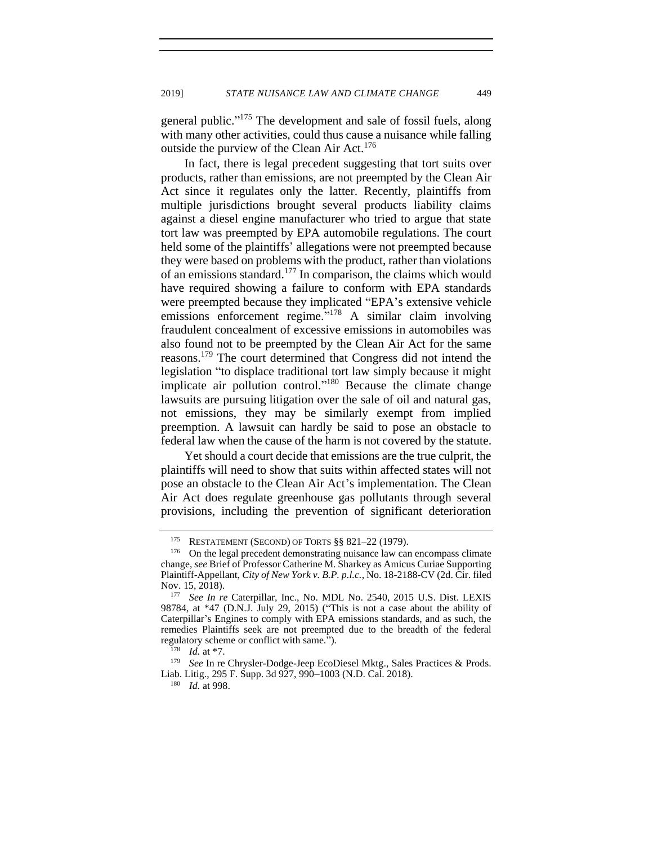general public."<sup>175</sup> The development and sale of fossil fuels, along with many other activities, could thus cause a nuisance while falling outside the purview of the Clean Air Act.<sup>176</sup>

In fact, there is legal precedent suggesting that tort suits over products, rather than emissions, are not preempted by the Clean Air Act since it regulates only the latter. Recently, plaintiffs from multiple jurisdictions brought several products liability claims against a diesel engine manufacturer who tried to argue that state tort law was preempted by EPA automobile regulations. The court held some of the plaintiffs' allegations were not preempted because they were based on problems with the product, rather than violations of an emissions standard.<sup>177</sup> In comparison, the claims which would have required showing a failure to conform with EPA standards were preempted because they implicated "EPA's extensive vehicle emissions enforcement regime."<sup>178</sup> A similar claim involving fraudulent concealment of excessive emissions in automobiles was also found not to be preempted by the Clean Air Act for the same reasons.<sup>179</sup> The court determined that Congress did not intend the legislation "to displace traditional tort law simply because it might implicate air pollution control."<sup>180</sup> Because the climate change lawsuits are pursuing litigation over the sale of oil and natural gas, not emissions, they may be similarly exempt from implied preemption. A lawsuit can hardly be said to pose an obstacle to federal law when the cause of the harm is not covered by the statute.

Yet should a court decide that emissions are the true culprit, the plaintiffs will need to show that suits within affected states will not pose an obstacle to the Clean Air Act's implementation. The Clean Air Act does regulate greenhouse gas pollutants through several provisions, including the prevention of significant deterioration

<sup>179</sup> *See* In re Chrysler-Dodge-Jeep EcoDiesel Mktg., Sales Practices & Prods. Liab. Litig., 295 F. Supp. 3d 927, 990-1003 (N.D. Cal. 2018).

<sup>180</sup> *Id.* at 998.

<sup>&</sup>lt;sup>175</sup> RESTATEMENT (SECOND) OF TORTS  $\S\S 821-22$  (1979).

<sup>176</sup> On the legal precedent demonstrating nuisance law can encompass climate change, *see* Brief of Professor Catherine M. Sharkey as Amicus Curiae Supporting Plaintiff-Appellant, *City of New York v. B.P. p.l.c.*, No. 18-2188-CV (2d. Cir. filed Nov. 15, 2018).

<sup>177</sup> *See In re* Caterpillar, Inc., No. MDL No. 2540, 2015 U.S. Dist. LEXIS 98784, at \*47 (D.N.J. July 29, 2015) ("This is not a case about the ability of Caterpillar's Engines to comply with EPA emissions standards, and as such, the remedies Plaintiffs seek are not preempted due to the breadth of the federal regulatory scheme or conflict with same.").

<sup>178</sup> *Id.* at \*7.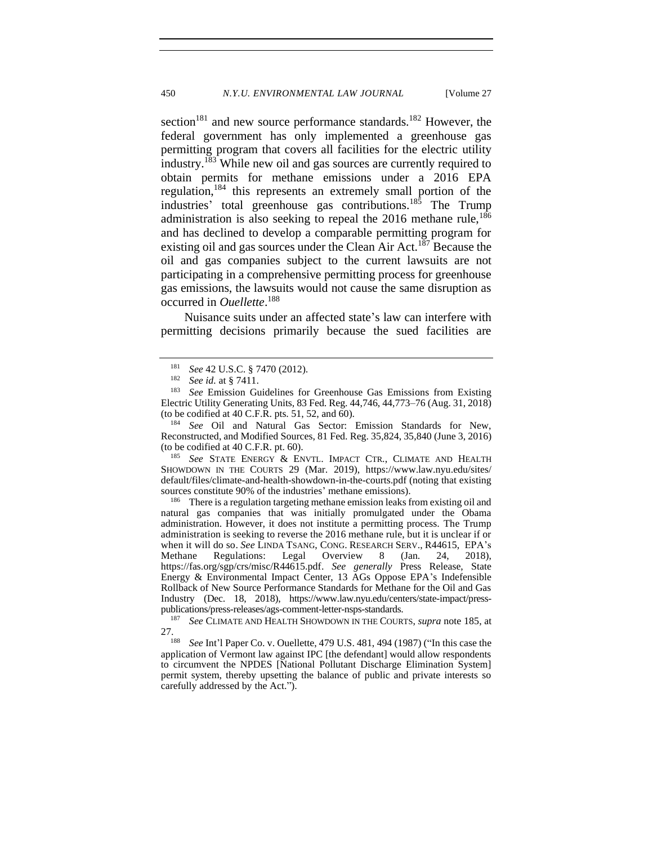<span id="page-38-0"></span>section<sup>181</sup> and new source performance standards.<sup>182</sup> However, the federal government has only implemented a greenhouse gas permitting program that covers all facilities for the electric utility industry.<sup>183</sup> While new oil and gas sources are currently required to obtain permits for methane emissions under a 2016 EPA regulation,<sup>184</sup> this represents an extremely small portion of the industries' total greenhouse gas contributions.<sup>185</sup> The Trump administration is also seeking to repeal the  $2016$  methane rule,  $186$ and has declined to develop a comparable permitting program for existing oil and gas sources under the Clean Air Act.<sup>187</sup> Because the oil and gas companies subject to the current lawsuits are not participating in a comprehensive permitting process for greenhouse gas emissions, the lawsuits would not cause the same disruption as occurred in *Ouellette*. 188

Nuisance suits under an affected state's law can interfere with permitting decisions primarily because the sued facilities are

<sup>184</sup> *See* Oil and Natural Gas Sector: Emission Standards for New, Reconstructed, and Modified Sources, 81 Fed. Reg. 35,824, 35,840 (June 3, 2016) (to be codified at 40 C.F.R. pt. 60).

<sup>185</sup> *See* STATE ENERGY & ENVTL. IMPACT CTR., CLIMATE AND HEALTH SHOWDOWN IN THE COURTS 29 (Mar. 2019), https://www.law.nyu.edu/sites/ default/files/climate-and-health-showdown-in-the-courts.pdf (noting that existing sources constitute 90% of the industries' methane emissions).

<sup>186</sup> There is a regulation targeting methane emission leaks from existing oil and natural gas companies that was initially promulgated under the Obama administration. However, it does not institute a permitting process. The Trump administration is seeking to reverse the 2016 methane rule, but it is unclear if or when it will do so. *See* LINDA TSANG, CONG. RESEARCH SERV., R44615, EPA's Methane Regulations: Legal Overview 8 (Jan. 24, 2018). Methane Regulations: Legal Overview 8 (Jan. 24, 2018), https://fas.org/sgp/crs/misc/R44615.pdf. *See generally* Press Release, State Energy & Environmental Impact Center, 13 AGs Oppose EPA's Indefensible Rollback of New Source Performance Standards for Methane for the Oil and Gas Industry (Dec. 18, 2018), [https://www.law.nyu.edu/centers/state-impact/press](https://www.law.nyu.edu/centers/state-impact/press-publications/press-releases/ags-comment-letter-nsps-standards)[publications/press-releases/ags-comment-letter-nsps-standards.](https://www.law.nyu.edu/centers/state-impact/press-publications/press-releases/ags-comment-letter-nsps-standards)

<sup>&</sup>lt;sup>181</sup> *See* 42 U.S.C. § 7470 (2012).

See id. at § 7411.

<sup>&</sup>lt;sup>183</sup> *See* Emission Guidelines for Greenhouse Gas Emissions from Existing Electric Utility Generating Units, 83 Fed. Reg. 44,746, 44,773–76 (Aug. 31, 2018) (to be codified at 40 C.F.R. pts. 51, 52, and 60).

<sup>187</sup> *See* CLIMATE AND HEALTH SHOWDOWN IN THE COURTS, *supra* note [185,](#page-38-0) at  $27.$ <sub>188</sub>

<sup>188</sup> *See* Int'l Paper Co. v. Ouellette, 479 U.S. 481, 494 (1987) ("In this case the application of Vermont law against IPC [the defendant] would allow respondents to circumvent the NPDES [National Pollutant Discharge Elimination System] permit system, thereby upsetting the balance of public and private interests so carefully addressed by the Act.").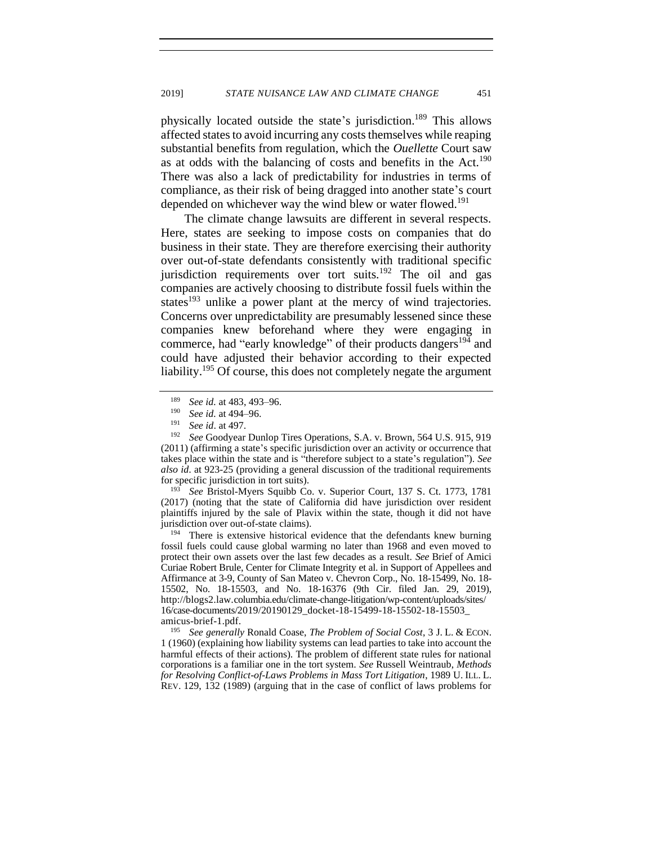physically located outside the state's jurisdiction.<sup>189</sup> This allows affected states to avoid incurring any costs themselves while reaping substantial benefits from regulation, which the *Ouellette* Court saw as at odds with the balancing of costs and benefits in the Act.<sup>190</sup> There was also a lack of predictability for industries in terms of compliance, as their risk of being dragged into another state's court depended on whichever way the wind blew or water flowed.<sup>191</sup>

The climate change lawsuits are different in several respects. Here, states are seeking to impose costs on companies that do business in their state. They are therefore exercising their authority over out-of-state defendants consistently with traditional specific jurisdiction requirements over tort suits.<sup>192</sup> The oil and gas companies are actively choosing to distribute fossil fuels within the states<sup>193</sup> unlike a power plant at the mercy of wind trajectories. Concerns over unpredictability are presumably lessened since these companies knew beforehand where they were engaging in commerce, had "early knowledge" of their products dangers<sup>194</sup> and could have adjusted their behavior according to their expected liability.<sup>195</sup> Of course, this does not completely negate the argument

<sup>193</sup> *See* Bristol-Myers Squibb Co. v. Superior Court, 137 S. Ct. 1773, 1781 (2017) (noting that the state of California did have jurisdiction over resident plaintiffs injured by the sale of Plavix within the state, though it did not have jurisdiction over out-of-state claims).

 $194$  There is extensive historical evidence that the defendants knew burning fossil fuels could cause global warming no later than 1968 and even moved to protect their own assets over the last few decades as a result. *See* Brief of Amici Curiae Robert Brule, Center for Climate Integrity et al. in Support of Appellees and Affirmance at 3-9, County of San Mateo v. Chevron Corp., No. 18-15499, No. 18- 15502, No. 18-15503, and No. 18-16376 (9th Cir. filed Jan. 29, 2019), http://blogs2.law.columbia.edu/climate-change-litigation/wp-content/uploads/sites/ 16/case-documents/2019/20190129\_docket-18-15499-18-15502-18-15503\_ amicus-brief-1.pdf.

<sup>195</sup> *See generally* Ronald Coase, *The Problem of Social Cost*, 3 J. L. & ECON. 1 (1960) (explaining how liability systems can lead parties to take into account the harmful effects of their actions). The problem of different state rules for national corporations is a familiar one in the tort system. *See* Russell Weintraub, *Methods for Resolving Conflict-of-Laws Problems in Mass Tort Litigation*, 1989 U. ILL. L. REV. 129, 132 (1989) (arguing that in the case of conflict of laws problems for

<sup>&</sup>lt;sup>189</sup> *See id.* at 483, 493–96.<br><sup>190</sup> *See id.* at 494–96

<sup>&</sup>lt;sup>190</sup> *See id.* at 494–96.

<sup>191</sup> *See id*. at 497.

See Goodyear Dunlop Tires Operations, S.A. v. Brown, 564 U.S. 915, 919 (2011) (affirming a state's specific jurisdiction over an activity or occurrence that takes place within the state and is "therefore subject to a state's regulation"). *See also id*. at 923-25 (providing a general discussion of the traditional requirements for specific jurisdiction in tort suits).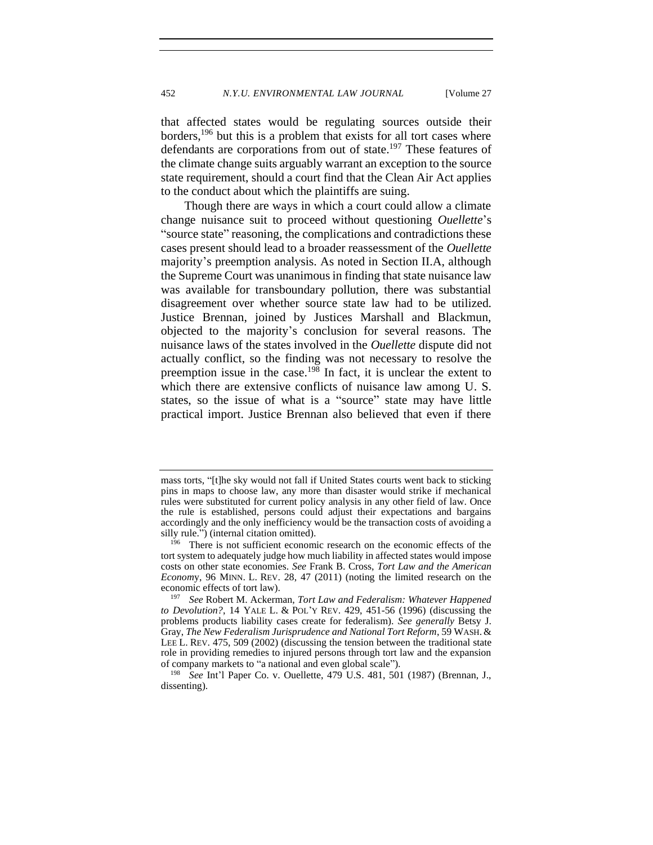that affected states would be regulating sources outside their borders,  $196$  but this is a problem that exists for all tort cases where defendants are corporations from out of state.<sup>197</sup> These features of the climate change suits arguably warrant an exception to the source state requirement, should a court find that the Clean Air Act applies to the conduct about which the plaintiffs are suing.

Though there are ways in which a court could allow a climate change nuisance suit to proceed without questioning *Ouellette*'s "source state" reasoning, the complications and contradictions these cases present should lead to a broader reassessment of the *Ouellette* majority's preemption analysis. As noted in Section II.A, although the Supreme Court was unanimous in finding that state nuisance law was available for transboundary pollution, there was substantial disagreement over whether source state law had to be utilized. Justice Brennan, joined by Justices Marshall and Blackmun, objected to the majority's conclusion for several reasons. The nuisance laws of the states involved in the *Ouellette* dispute did not actually conflict, so the finding was not necessary to resolve the preemption issue in the case.<sup>198</sup> In fact, it is unclear the extent to which there are extensive conflicts of nuisance law among U. S. states, so the issue of what is a "source" state may have little practical import. Justice Brennan also believed that even if there

mass torts, "[t]he sky would not fall if United States courts went back to sticking pins in maps to choose law, any more than disaster would strike if mechanical rules were substituted for current policy analysis in any other field of law. Once the rule is established, persons could adjust their expectations and bargains accordingly and the only inefficiency would be the transaction costs of avoiding a silly rule.") (internal citation omitted).

<sup>&</sup>lt;sup>196</sup> There is not sufficient economic research on the economic effects of the tort system to adequately judge how much liability in affected states would impose costs on other state economies. *See* Frank B. Cross, *Tort Law and the American Econom*y, 96 MINN. L. REV. 28, 47 (2011) (noting the limited research on the economic effects of tort law).

<sup>197</sup> *See* Robert M. Ackerman, *Tort Law and Federalism: Whatever Happened to Devolution?*, 14 YALE L. & POL'Y REV. 429, 451-56 (1996) (discussing the problems products liability cases create for federalism). *See generally* Betsy J. Gray, *The New Federalism Jurisprudence and National Tort Reform*, 59 WASH.& LEE L. REV. 475, 509 (2002) (discussing the tension between the traditional state role in providing remedies to injured persons through tort law and the expansion of company markets to "a national and even global scale").

<sup>198</sup> *See* Int'l Paper Co. v. Ouellette, 479 U.S. 481, 501 (1987) (Brennan, J., dissenting).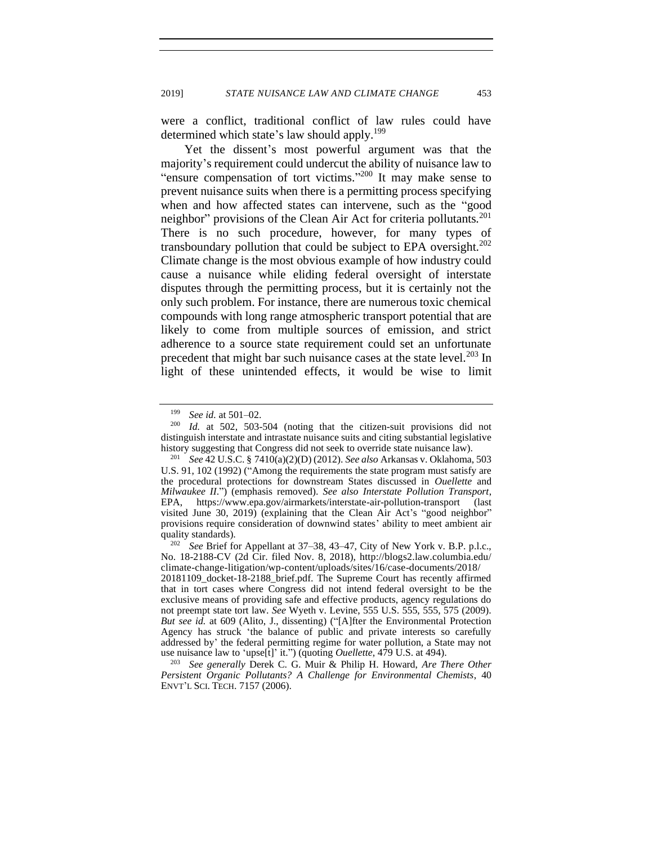were a conflict, traditional conflict of law rules could have determined which state's law should apply.<sup>199</sup>

Yet the dissent's most powerful argument was that the majority's requirement could undercut the ability of nuisance law to "ensure compensation of tort victims."<sup>200</sup> It may make sense to prevent nuisance suits when there is a permitting process specifying when and how affected states can intervene, such as the "good neighbor" provisions of the Clean Air Act for criteria pollutants.<sup>201</sup> There is no such procedure, however, for many types of transboundary pollution that could be subject to EPA oversight.<sup>202</sup> Climate change is the most obvious example of how industry could cause a nuisance while eliding federal oversight of interstate disputes through the permitting process, but it is certainly not the only such problem. For instance, there are numerous toxic chemical compounds with long range atmospheric transport potential that are likely to come from multiple sources of emission, and strict adherence to a source state requirement could set an unfortunate precedent that might bar such nuisance cases at the state level.<sup>203</sup> In light of these unintended effects, it would be wise to limit

<sup>199</sup> *See id.* at 501–02.

<sup>200</sup> *Id.* at 502, 503-504 (noting that the citizen-suit provisions did not distinguish interstate and intrastate nuisance suits and citing substantial legislative history suggesting that Congress did not seek to override state nuisance law).

<sup>201</sup> *See* 42 U.S.C. § 7410(a)(2)(D) (2012). *See also* Arkansas v. Oklahoma, 503 U.S. 91, 102 (1992) ("Among the requirements the state program must satisfy are the procedural protections for downstream States discussed in *Ouellette* and *Milwaukee II*.") (emphasis removed). *See also Interstate Pollution Transport*, EPA, <https://www.epa.gov/airmarkets/interstate-air-pollution-transport> (last visited June 30, 2019) (explaining that the Clean Air Act's "good neighbor" provisions require consideration of downwind states' ability to meet ambient air quality standards).

<sup>202</sup> *See* Brief for Appellant at 37–38, 43–47, City of New York v. B.P. p.l.c., No. 18-2188-CV (2d Cir. filed Nov. 8, 2018), http://blogs2.law.columbia.edu/ climate-change-litigation/wp-content/uploads/sites/16/case-documents/2018/ 20181109\_docket-18-2188\_brief.pdf. The Supreme Court has recently affirmed that in tort cases where Congress did not intend federal oversight to be the exclusive means of providing safe and effective products, agency regulations do not preempt state tort law. *See* Wyeth v. Levine, 555 U.S. 555, 555, 575 (2009). *But see id.* at 609 (Alito, J., dissenting) ("[A]fter the Environmental Protection Agency has struck 'the balance of public and private interests so carefully addressed by' the federal permitting regime for water pollution, a State may not use nuisance law to 'upse[t]' it.") (quoting *Ouellette*, 479 U.S. at 494).

<sup>203</sup> *See generally* Derek C. G. Muir & Philip H. Howard, *Are There Other Persistent Organic Pollutants? A Challenge for Environmental Chemists*, 40 ENVT'L SCI. TECH. 7157 (2006).